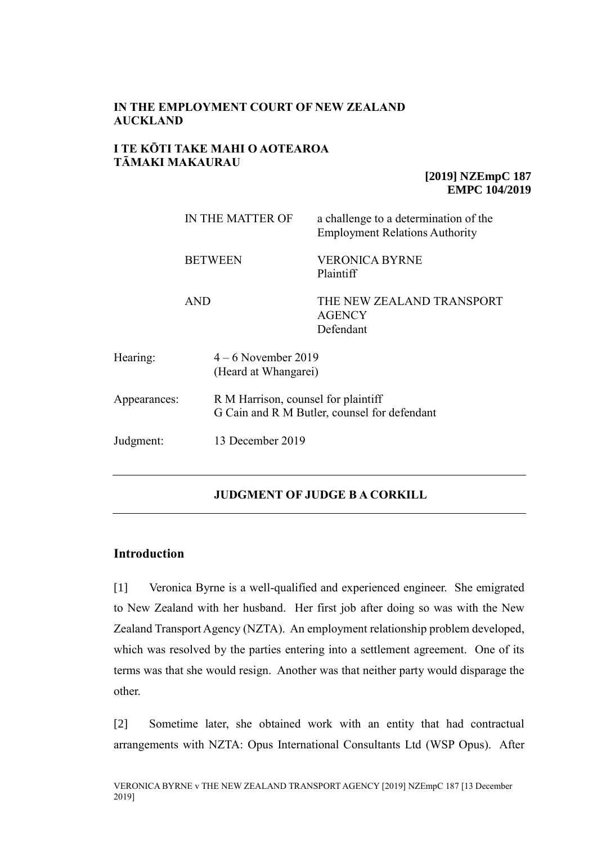# **IN THE EMPLOYMENT COURT OF NEW ZEALAND AUCKLAND**

# **I TE KŌTI TAKE MAHI O AOTEAROA TĀMAKI MAKAURAU**

**[2019] NZEmpC 187 EMPC 104/2019**

|                               | IN THE MATTER OF<br><b>BETWEEN</b> |                                                                                     | a challenge to a determination of the<br><b>Employment Relations Authority</b> |
|-------------------------------|------------------------------------|-------------------------------------------------------------------------------------|--------------------------------------------------------------------------------|
|                               |                                    |                                                                                     | <b>VERONICA BYRNE</b><br>Plaintiff                                             |
|                               | <b>AND</b>                         |                                                                                     | THE NEW ZEALAND TRANSPORT<br><b>AGENCY</b><br>Defendant                        |
| Hearing:                      |                                    | $4-6$ November 2019<br>(Heard at Whangarei)                                         |                                                                                |
| Appearances:                  |                                    | R M Harrison, counsel for plaintiff<br>G Cain and R M Butler, counsel for defendant |                                                                                |
| 13 December 2019<br>Judgment: |                                    |                                                                                     |                                                                                |

# **JUDGMENT OF JUDGE B A CORKILL**

# **Introduction**

[1] Veronica Byrne is a well-qualified and experienced engineer. She emigrated to New Zealand with her husband. Her first job after doing so was with the New Zealand Transport Agency (NZTA). An employment relationship problem developed, which was resolved by the parties entering into a settlement agreement. One of its terms was that she would resign. Another was that neither party would disparage the other.

[2] Sometime later, she obtained work with an entity that had contractual arrangements with NZTA: Opus International Consultants Ltd (WSP Opus). After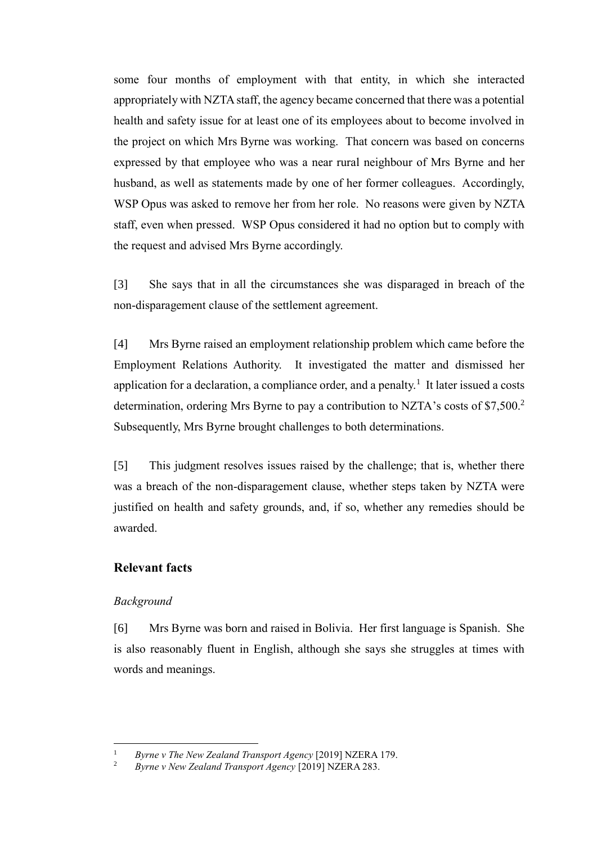some four months of employment with that entity, in which she interacted appropriately with NZTA staff, the agency became concerned that there was a potential health and safety issue for at least one of its employees about to become involved in the project on which Mrs Byrne was working. That concern was based on concerns expressed by that employee who was a near rural neighbour of Mrs Byrne and her husband, as well as statements made by one of her former colleagues. Accordingly, WSP Opus was asked to remove her from her role. No reasons were given by NZTA staff, even when pressed. WSP Opus considered it had no option but to comply with the request and advised Mrs Byrne accordingly.

[3] She says that in all the circumstances she was disparaged in breach of the non-disparagement clause of the settlement agreement.

[4] Mrs Byrne raised an employment relationship problem which came before the Employment Relations Authority. It investigated the matter and dismissed her application for a declaration, a compliance order, and a penalty.<sup>1</sup> It later issued a costs determination, ordering Mrs Byrne to pay a contribution to NZTA's costs of \$7,500.<sup>2</sup> Subsequently, Mrs Byrne brought challenges to both determinations.

[5] This judgment resolves issues raised by the challenge; that is, whether there was a breach of the non-disparagement clause, whether steps taken by NZTA were justified on health and safety grounds, and, if so, whether any remedies should be awarded.

# **Relevant facts**

## *Background*

 $\overline{a}$ 

[6] Mrs Byrne was born and raised in Bolivia. Her first language is Spanish. She is also reasonably fluent in English, although she says she struggles at times with words and meanings.

<sup>1</sup> *Byrne v The New Zealand Transport Agency* [2019] NZERA 179.

<sup>2</sup> *Byrne v New Zealand Transport Agency* [2019] NZERA 283.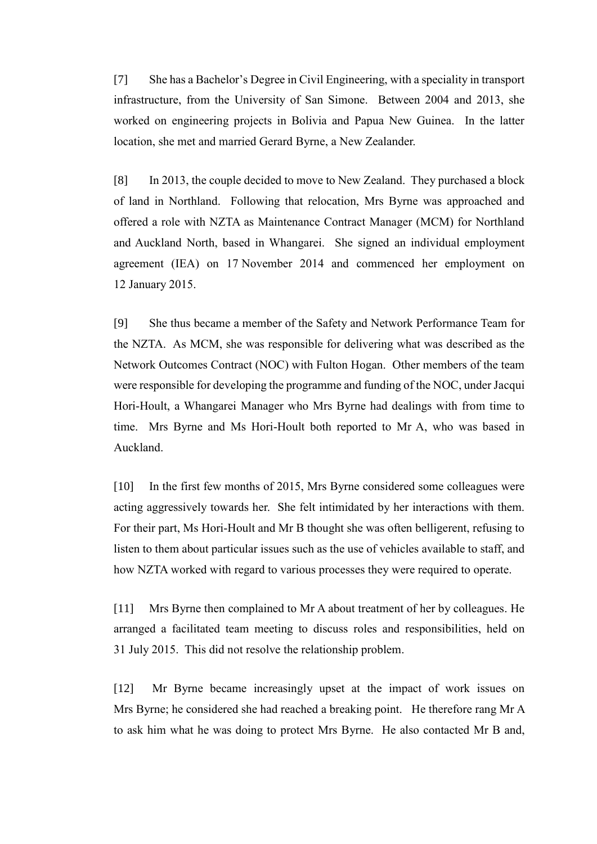[7] She has a Bachelor's Degree in Civil Engineering, with a speciality in transport infrastructure, from the University of San Simone. Between 2004 and 2013, she worked on engineering projects in Bolivia and Papua New Guinea. In the latter location, she met and married Gerard Byrne, a New Zealander.

[8] In 2013, the couple decided to move to New Zealand. They purchased a block of land in Northland. Following that relocation, Mrs Byrne was approached and offered a role with NZTA as Maintenance Contract Manager (MCM) for Northland and Auckland North, based in Whangarei. She signed an individual employment agreement (IEA) on 17 November 2014 and commenced her employment on 12 January 2015.

[9] She thus became a member of the Safety and Network Performance Team for the NZTA. As MCM, she was responsible for delivering what was described as the Network Outcomes Contract (NOC) with Fulton Hogan. Other members of the team were responsible for developing the programme and funding of the NOC, under Jacqui Hori-Hoult, a Whangarei Manager who Mrs Byrne had dealings with from time to time. Mrs Byrne and Ms Hori-Hoult both reported to Mr A, who was based in Auckland.

[10] In the first few months of 2015, Mrs Byrne considered some colleagues were acting aggressively towards her. She felt intimidated by her interactions with them. For their part, Ms Hori-Hoult and Mr B thought she was often belligerent, refusing to listen to them about particular issues such as the use of vehicles available to staff, and how NZTA worked with regard to various processes they were required to operate.

[11] Mrs Byrne then complained to Mr A about treatment of her by colleagues. He arranged a facilitated team meeting to discuss roles and responsibilities, held on 31 July 2015. This did not resolve the relationship problem.

[12] Mr Byrne became increasingly upset at the impact of work issues on Mrs Byrne; he considered she had reached a breaking point. He therefore rang Mr A to ask him what he was doing to protect Mrs Byrne. He also contacted Mr B and,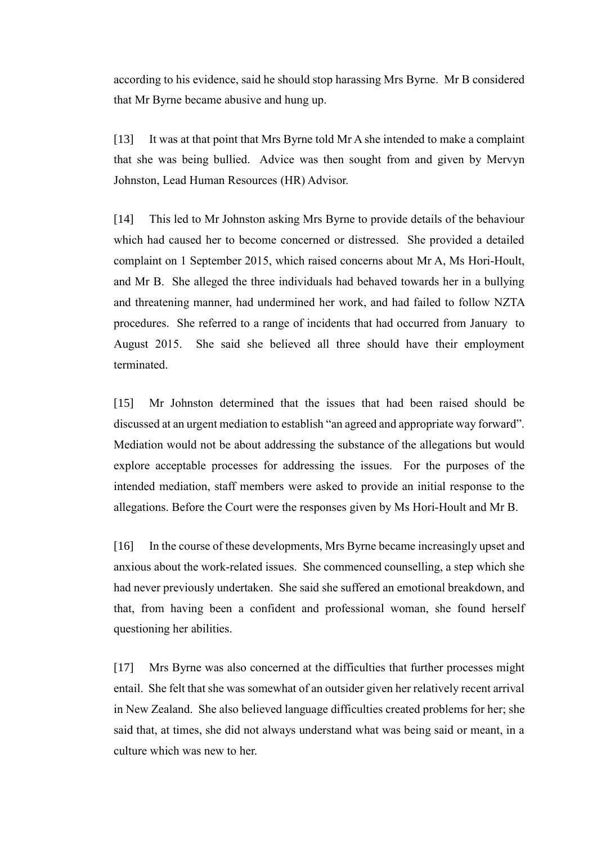according to his evidence, said he should stop harassing Mrs Byrne. Mr B considered that Mr Byrne became abusive and hung up.

[13] It was at that point that Mrs Byrne told Mr A she intended to make a complaint that she was being bullied. Advice was then sought from and given by Mervyn Johnston, Lead Human Resources (HR) Advisor.

[14] This led to Mr Johnston asking Mrs Byrne to provide details of the behaviour which had caused her to become concerned or distressed. She provided a detailed complaint on 1 September 2015, which raised concerns about Mr A, Ms Hori-Hoult, and Mr B. She alleged the three individuals had behaved towards her in a bullying and threatening manner, had undermined her work, and had failed to follow NZTA procedures. She referred to a range of incidents that had occurred from January to August 2015. She said she believed all three should have their employment terminated.

[15] Mr Johnston determined that the issues that had been raised should be discussed at an urgent mediation to establish "an agreed and appropriate way forward". Mediation would not be about addressing the substance of the allegations but would explore acceptable processes for addressing the issues. For the purposes of the intended mediation, staff members were asked to provide an initial response to the allegations. Before the Court were the responses given by Ms Hori-Hoult and Mr B.

[16] In the course of these developments, Mrs Byrne became increasingly upset and anxious about the work-related issues. She commenced counselling, a step which she had never previously undertaken. She said she suffered an emotional breakdown, and that, from having been a confident and professional woman, she found herself questioning her abilities.

[17] Mrs Byrne was also concerned at the difficulties that further processes might entail. She felt that she was somewhat of an outsider given her relatively recent arrival in New Zealand. She also believed language difficulties created problems for her; she said that, at times, she did not always understand what was being said or meant, in a culture which was new to her.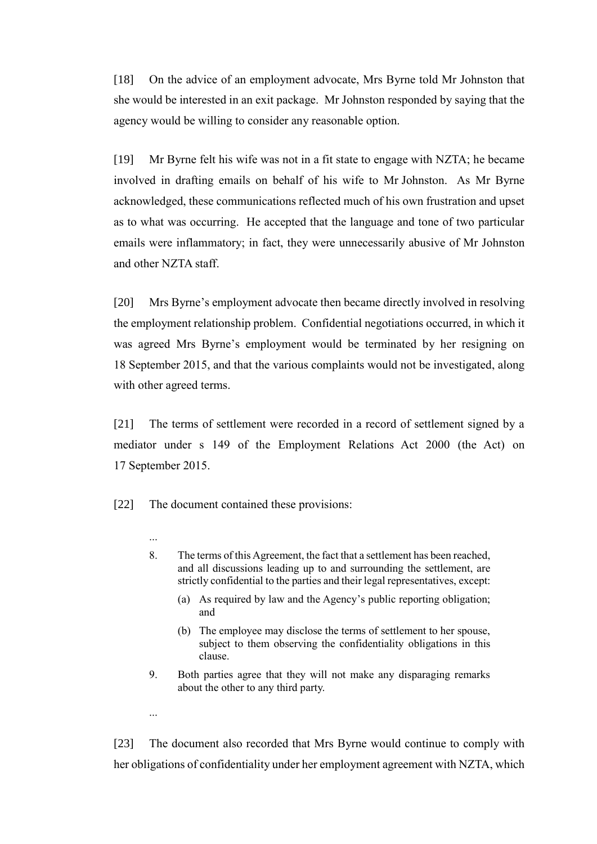[18] On the advice of an employment advocate, Mrs Byrne told Mr Johnston that she would be interested in an exit package. Mr Johnston responded by saying that the agency would be willing to consider any reasonable option.

[19] Mr Byrne felt his wife was not in a fit state to engage with NZTA; he became involved in drafting emails on behalf of his wife to Mr Johnston. As Mr Byrne acknowledged, these communications reflected much of his own frustration and upset as to what was occurring. He accepted that the language and tone of two particular emails were inflammatory; in fact, they were unnecessarily abusive of Mr Johnston and other NZTA staff.

[20] Mrs Byrne's employment advocate then became directly involved in resolving the employment relationship problem. Confidential negotiations occurred, in which it was agreed Mrs Byrne's employment would be terminated by her resigning on 18 September 2015, and that the various complaints would not be investigated, along with other agreed terms.

[21] The terms of settlement were recorded in a record of settlement signed by a mediator under s 149 of the Employment Relations Act 2000 (the Act) on 17 September 2015.

[22] The document contained these provisions:

- 8. The terms of this Agreement, the fact that a settlement has been reached, and all discussions leading up to and surrounding the settlement, are strictly confidential to the parties and their legal representatives, except:
	- (a) As required by law and the Agency's public reporting obligation; and
	- (b) The employee may disclose the terms of settlement to her spouse, subject to them observing the confidentiality obligations in this clause.
- 9. Both parties agree that they will not make any disparaging remarks about the other to any third party.

...

...

[23] The document also recorded that Mrs Byrne would continue to comply with her obligations of confidentiality under her employment agreement with NZTA, which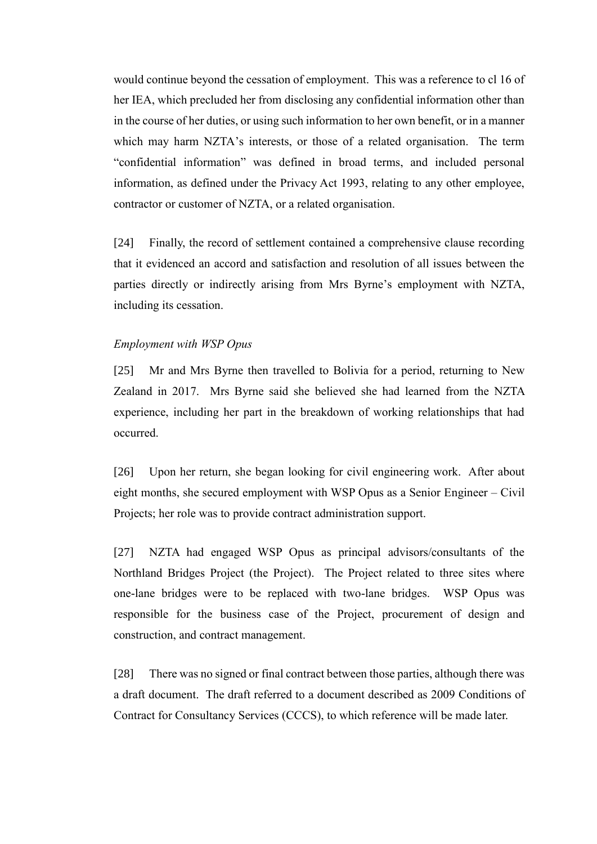would continue beyond the cessation of employment. This was a reference to cl 16 of her IEA, which precluded her from disclosing any confidential information other than in the course of her duties, or using such information to her own benefit, or in a manner which may harm NZTA's interests, or those of a related organisation. The term "confidential information" was defined in broad terms, and included personal information, as defined under the Privacy Act 1993, relating to any other employee, contractor or customer of NZTA, or a related organisation.

[24] Finally, the record of settlement contained a comprehensive clause recording that it evidenced an accord and satisfaction and resolution of all issues between the parties directly or indirectly arising from Mrs Byrne's employment with NZTA, including its cessation.

#### *Employment with WSP Opus*

[25] Mr and Mrs Byrne then travelled to Bolivia for a period, returning to New Zealand in 2017. Mrs Byrne said she believed she had learned from the NZTA experience, including her part in the breakdown of working relationships that had occurred.

[26] Upon her return, she began looking for civil engineering work. After about eight months, she secured employment with WSP Opus as a Senior Engineer – Civil Projects; her role was to provide contract administration support.

[27] NZTA had engaged WSP Opus as principal advisors/consultants of the Northland Bridges Project (the Project). The Project related to three sites where one-lane bridges were to be replaced with two-lane bridges. WSP Opus was responsible for the business case of the Project, procurement of design and construction, and contract management.

[28] There was no signed or final contract between those parties, although there was a draft document. The draft referred to a document described as 2009 Conditions of Contract for Consultancy Services (CCCS), to which reference will be made later.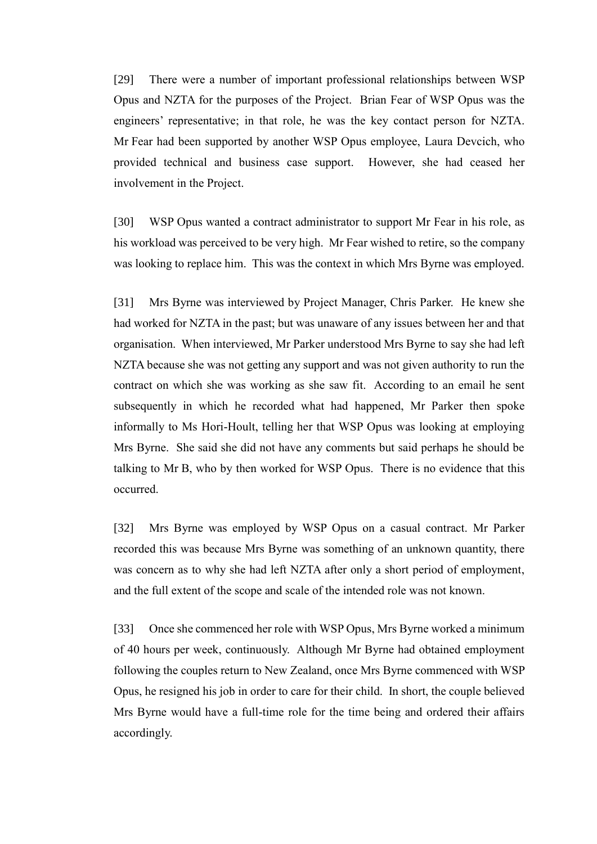[29] There were a number of important professional relationships between WSP Opus and NZTA for the purposes of the Project. Brian Fear of WSP Opus was the engineers' representative; in that role, he was the key contact person for NZTA. Mr Fear had been supported by another WSP Opus employee, Laura Devcich, who provided technical and business case support. However, she had ceased her involvement in the Project.

[30] WSP Opus wanted a contract administrator to support Mr Fear in his role, as his workload was perceived to be very high. Mr Fear wished to retire, so the company was looking to replace him. This was the context in which Mrs Byrne was employed.

[31] Mrs Byrne was interviewed by Project Manager, Chris Parker. He knew she had worked for NZTA in the past; but was unaware of any issues between her and that organisation. When interviewed, Mr Parker understood Mrs Byrne to say she had left NZTA because she was not getting any support and was not given authority to run the contract on which she was working as she saw fit. According to an email he sent subsequently in which he recorded what had happened, Mr Parker then spoke informally to Ms Hori-Hoult, telling her that WSP Opus was looking at employing Mrs Byrne. She said she did not have any comments but said perhaps he should be talking to Mr B, who by then worked for WSP Opus. There is no evidence that this occurred.

[32] Mrs Byrne was employed by WSP Opus on a casual contract. Mr Parker recorded this was because Mrs Byrne was something of an unknown quantity, there was concern as to why she had left NZTA after only a short period of employment, and the full extent of the scope and scale of the intended role was not known.

[33] Once she commenced her role with WSP Opus, Mrs Byrne worked a minimum of 40 hours per week, continuously. Although Mr Byrne had obtained employment following the couples return to New Zealand, once Mrs Byrne commenced with WSP Opus, he resigned his job in order to care for their child. In short, the couple believed Mrs Byrne would have a full-time role for the time being and ordered their affairs accordingly.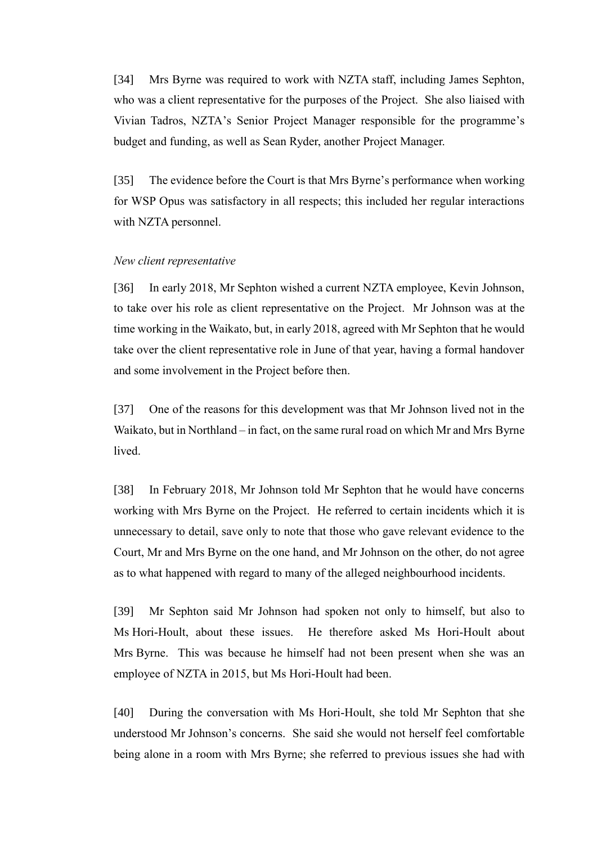[34] Mrs Byrne was required to work with NZTA staff, including James Sephton, who was a client representative for the purposes of the Project. She also liaised with Vivian Tadros, NZTA's Senior Project Manager responsible for the programme's budget and funding, as well as Sean Ryder, another Project Manager.

[35] The evidence before the Court is that Mrs Byrne's performance when working for WSP Opus was satisfactory in all respects; this included her regular interactions with NZTA personnel.

#### *New client representative*

[36] In early 2018, Mr Sephton wished a current NZTA employee, Kevin Johnson, to take over his role as client representative on the Project. Mr Johnson was at the time working in the Waikato, but, in early 2018, agreed with Mr Sephton that he would take over the client representative role in June of that year, having a formal handover and some involvement in the Project before then.

[37] One of the reasons for this development was that Mr Johnson lived not in the Waikato, but in Northland – in fact, on the same rural road on which Mr and Mrs Byrne lived.

[38] In February 2018, Mr Johnson told Mr Sephton that he would have concerns working with Mrs Byrne on the Project. He referred to certain incidents which it is unnecessary to detail, save only to note that those who gave relevant evidence to the Court, Mr and Mrs Byrne on the one hand, and Mr Johnson on the other, do not agree as to what happened with regard to many of the alleged neighbourhood incidents.

[39] Mr Sephton said Mr Johnson had spoken not only to himself, but also to Ms Hori-Hoult, about these issues. He therefore asked Ms Hori-Hoult about Mrs Byrne. This was because he himself had not been present when she was an employee of NZTA in 2015, but Ms Hori-Hoult had been.

[40] During the conversation with Ms Hori-Hoult, she told Mr Sephton that she understood Mr Johnson's concerns. She said she would not herself feel comfortable being alone in a room with Mrs Byrne; she referred to previous issues she had with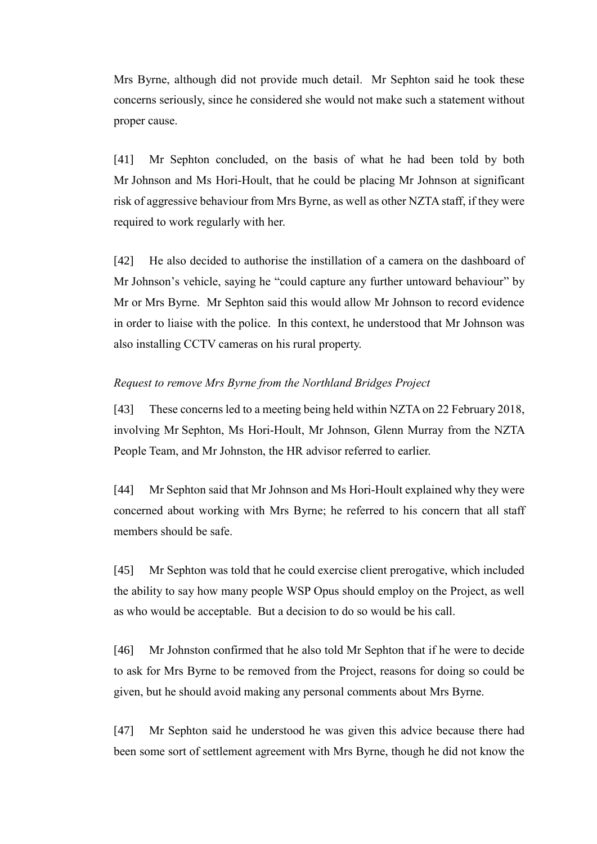Mrs Byrne, although did not provide much detail. Mr Sephton said he took these concerns seriously, since he considered she would not make such a statement without proper cause.

[41] Mr Sephton concluded, on the basis of what he had been told by both Mr Johnson and Ms Hori-Hoult, that he could be placing Mr Johnson at significant risk of aggressive behaviour from Mrs Byrne, as well as other NZTA staff, if they were required to work regularly with her.

[42] He also decided to authorise the instillation of a camera on the dashboard of Mr Johnson's vehicle, saying he "could capture any further untoward behaviour" by Mr or Mrs Byrne. Mr Sephton said this would allow Mr Johnson to record evidence in order to liaise with the police. In this context, he understood that Mr Johnson was also installing CCTV cameras on his rural property.

### *Request to remove Mrs Byrne from the Northland Bridges Project*

[43] These concerns led to a meeting being held within NZTA on 22 February 2018, involving Mr Sephton, Ms Hori-Hoult, Mr Johnson, Glenn Murray from the NZTA People Team, and Mr Johnston, the HR advisor referred to earlier.

[44] Mr Sephton said that Mr Johnson and Ms Hori-Hoult explained why they were concerned about working with Mrs Byrne; he referred to his concern that all staff members should be safe.

[45] Mr Sephton was told that he could exercise client prerogative, which included the ability to say how many people WSP Opus should employ on the Project, as well as who would be acceptable. But a decision to do so would be his call.

[46] Mr Johnston confirmed that he also told Mr Sephton that if he were to decide to ask for Mrs Byrne to be removed from the Project, reasons for doing so could be given, but he should avoid making any personal comments about Mrs Byrne.

[47] Mr Sephton said he understood he was given this advice because there had been some sort of settlement agreement with Mrs Byrne, though he did not know the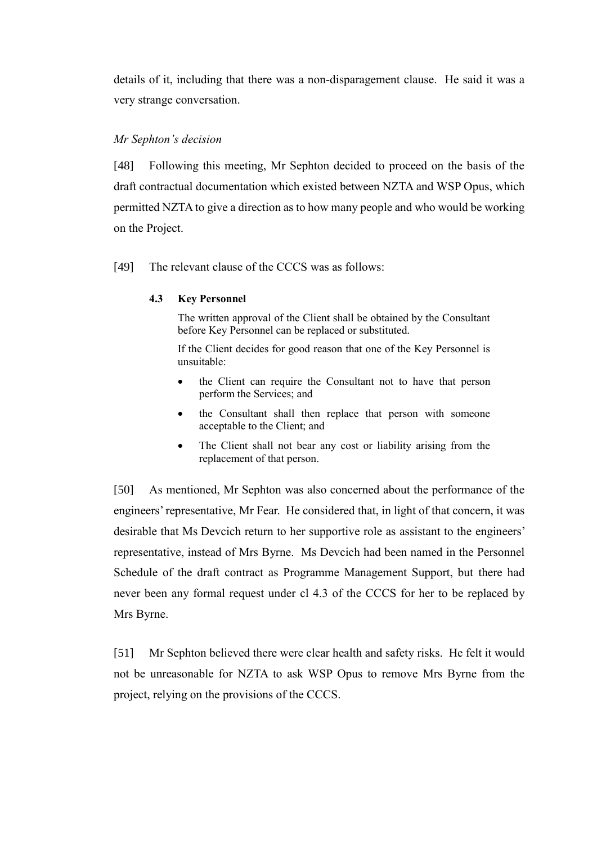details of it, including that there was a non-disparagement clause. He said it was a very strange conversation.

### *Mr Sephton's decision*

[48] Following this meeting, Mr Sephton decided to proceed on the basis of the draft contractual documentation which existed between NZTA and WSP Opus, which permitted NZTA to give a direction as to how many people and who would be working on the Project.

[49] The relevant clause of the CCCS was as follows:

### **4.3 Key Personnel**

The written approval of the Client shall be obtained by the Consultant before Key Personnel can be replaced or substituted.

If the Client decides for good reason that one of the Key Personnel is unsuitable:

- the Client can require the Consultant not to have that person perform the Services; and
- the Consultant shall then replace that person with someone acceptable to the Client; and
- The Client shall not bear any cost or liability arising from the replacement of that person.

[50] As mentioned, Mr Sephton was also concerned about the performance of the engineers' representative, Mr Fear. He considered that, in light of that concern, it was desirable that Ms Devcich return to her supportive role as assistant to the engineers' representative, instead of Mrs Byrne. Ms Devcich had been named in the Personnel Schedule of the draft contract as Programme Management Support, but there had never been any formal request under cl 4.3 of the CCCS for her to be replaced by Mrs Byrne.

[51] Mr Sephton believed there were clear health and safety risks. He felt it would not be unreasonable for NZTA to ask WSP Opus to remove Mrs Byrne from the project, relying on the provisions of the CCCS.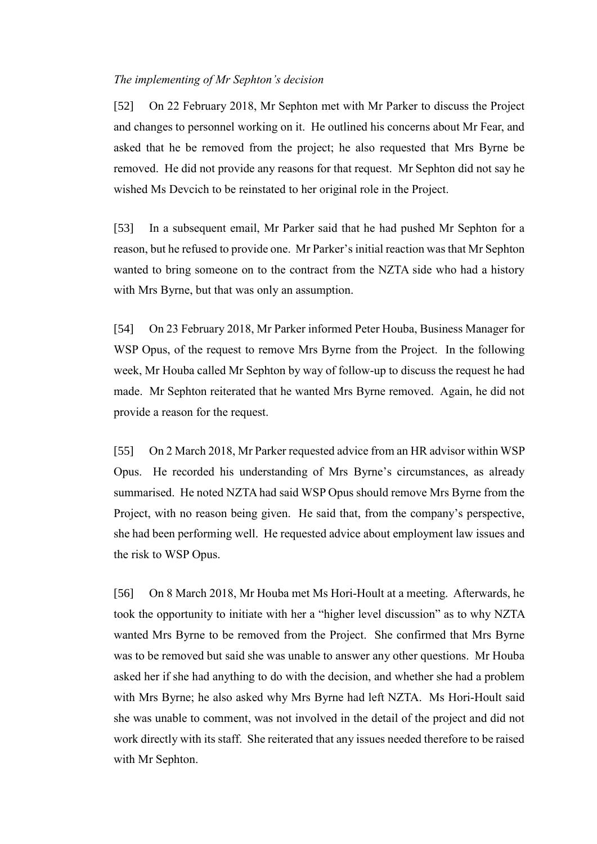#### *The implementing of Mr Sephton's decision*

[52] On 22 February 2018, Mr Sephton met with Mr Parker to discuss the Project and changes to personnel working on it. He outlined his concerns about Mr Fear, and asked that he be removed from the project; he also requested that Mrs Byrne be removed. He did not provide any reasons for that request. Mr Sephton did not say he wished Ms Devcich to be reinstated to her original role in the Project.

[53] In a subsequent email, Mr Parker said that he had pushed Mr Sephton for a reason, but he refused to provide one. Mr Parker's initial reaction was that Mr Sephton wanted to bring someone on to the contract from the NZTA side who had a history with Mrs Byrne, but that was only an assumption.

[54] On 23 February 2018, Mr Parker informed Peter Houba, Business Manager for WSP Opus, of the request to remove Mrs Byrne from the Project. In the following week, Mr Houba called Mr Sephton by way of follow-up to discuss the request he had made. Mr Sephton reiterated that he wanted Mrs Byrne removed. Again, he did not provide a reason for the request.

[55] On 2 March 2018, Mr Parker requested advice from an HR advisor within WSP Opus. He recorded his understanding of Mrs Byrne's circumstances, as already summarised. He noted NZTA had said WSP Opus should remove Mrs Byrne from the Project, with no reason being given. He said that, from the company's perspective, she had been performing well. He requested advice about employment law issues and the risk to WSP Opus.

[56] On 8 March 2018, Mr Houba met Ms Hori-Hoult at a meeting. Afterwards, he took the opportunity to initiate with her a "higher level discussion" as to why NZTA wanted Mrs Byrne to be removed from the Project. She confirmed that Mrs Byrne was to be removed but said she was unable to answer any other questions. Mr Houba asked her if she had anything to do with the decision, and whether she had a problem with Mrs Byrne; he also asked why Mrs Byrne had left NZTA. Ms Hori-Hoult said she was unable to comment, was not involved in the detail of the project and did not work directly with its staff. She reiterated that any issues needed therefore to be raised with Mr Sephton.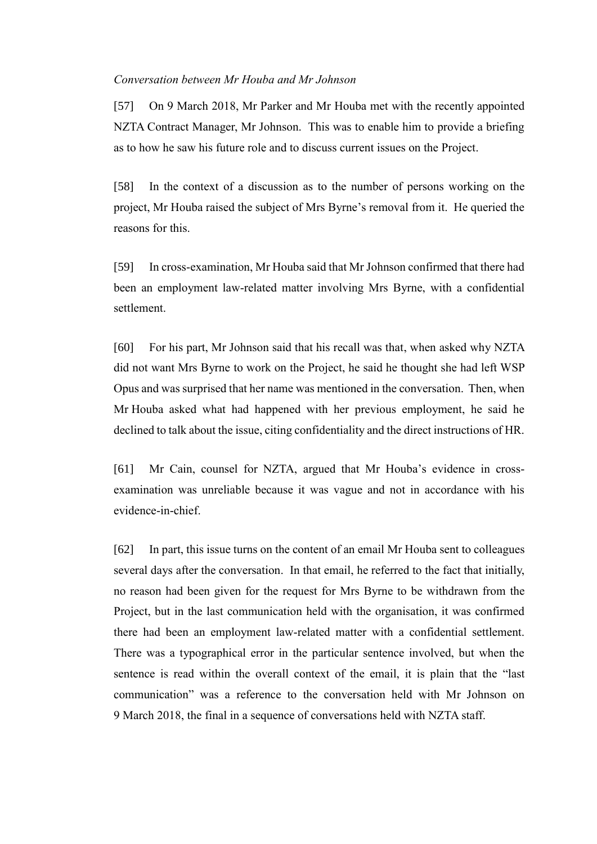#### *Conversation between Mr Houba and Mr Johnson*

[57] On 9 March 2018, Mr Parker and Mr Houba met with the recently appointed NZTA Contract Manager, Mr Johnson. This was to enable him to provide a briefing as to how he saw his future role and to discuss current issues on the Project.

[58] In the context of a discussion as to the number of persons working on the project, Mr Houba raised the subject of Mrs Byrne's removal from it. He queried the reasons for this.

[59] In cross-examination, Mr Houba said that Mr Johnson confirmed that there had been an employment law-related matter involving Mrs Byrne, with a confidential settlement.

[60] For his part, Mr Johnson said that his recall was that, when asked why NZTA did not want Mrs Byrne to work on the Project, he said he thought she had left WSP Opus and was surprised that her name was mentioned in the conversation. Then, when Mr Houba asked what had happened with her previous employment, he said he declined to talk about the issue, citing confidentiality and the direct instructions of HR.

[61] Mr Cain, counsel for NZTA, argued that Mr Houba's evidence in crossexamination was unreliable because it was vague and not in accordance with his evidence-in-chief.

[62] In part, this issue turns on the content of an email Mr Houba sent to colleagues several days after the conversation. In that email, he referred to the fact that initially, no reason had been given for the request for Mrs Byrne to be withdrawn from the Project, but in the last communication held with the organisation, it was confirmed there had been an employment law-related matter with a confidential settlement. There was a typographical error in the particular sentence involved, but when the sentence is read within the overall context of the email, it is plain that the "last communication" was a reference to the conversation held with Mr Johnson on 9 March 2018, the final in a sequence of conversations held with NZTA staff.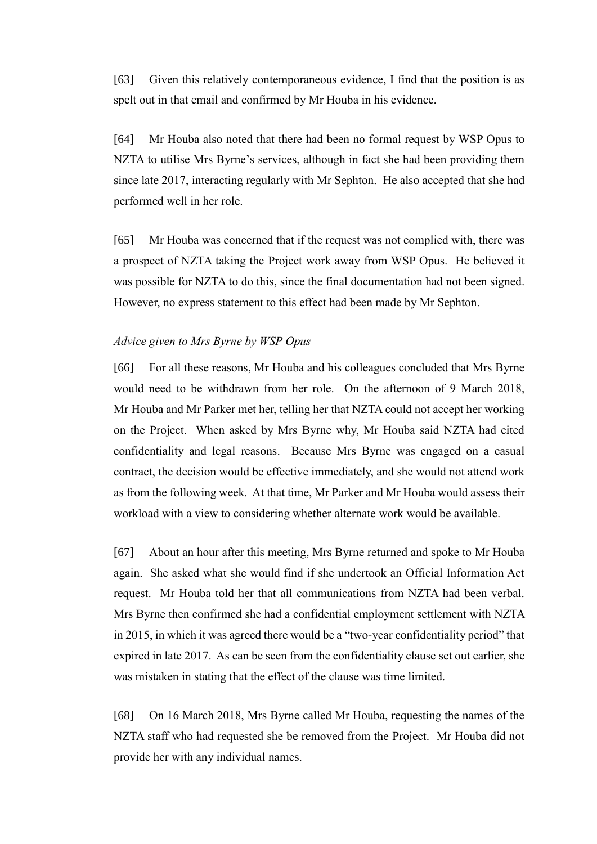[63] Given this relatively contemporaneous evidence, I find that the position is as spelt out in that email and confirmed by Mr Houba in his evidence.

[64] Mr Houba also noted that there had been no formal request by WSP Opus to NZTA to utilise Mrs Byrne's services, although in fact she had been providing them since late 2017, interacting regularly with Mr Sephton. He also accepted that she had performed well in her role.

[65] Mr Houba was concerned that if the request was not complied with, there was a prospect of NZTA taking the Project work away from WSP Opus. He believed it was possible for NZTA to do this, since the final documentation had not been signed. However, no express statement to this effect had been made by Mr Sephton.

#### *Advice given to Mrs Byrne by WSP Opus*

[66] For all these reasons, Mr Houba and his colleagues concluded that Mrs Byrne would need to be withdrawn from her role. On the afternoon of 9 March 2018, Mr Houba and Mr Parker met her, telling her that NZTA could not accept her working on the Project. When asked by Mrs Byrne why, Mr Houba said NZTA had cited confidentiality and legal reasons. Because Mrs Byrne was engaged on a casual contract, the decision would be effective immediately, and she would not attend work as from the following week. At that time, Mr Parker and Mr Houba would assess their workload with a view to considering whether alternate work would be available.

[67] About an hour after this meeting, Mrs Byrne returned and spoke to Mr Houba again. She asked what she would find if she undertook an Official Information Act request. Mr Houba told her that all communications from NZTA had been verbal. Mrs Byrne then confirmed she had a confidential employment settlement with NZTA in 2015, in which it was agreed there would be a "two-year confidentiality period" that expired in late 2017. As can be seen from the confidentiality clause set out earlier, she was mistaken in stating that the effect of the clause was time limited.

[68] On 16 March 2018, Mrs Byrne called Mr Houba, requesting the names of the NZTA staff who had requested she be removed from the Project. Mr Houba did not provide her with any individual names.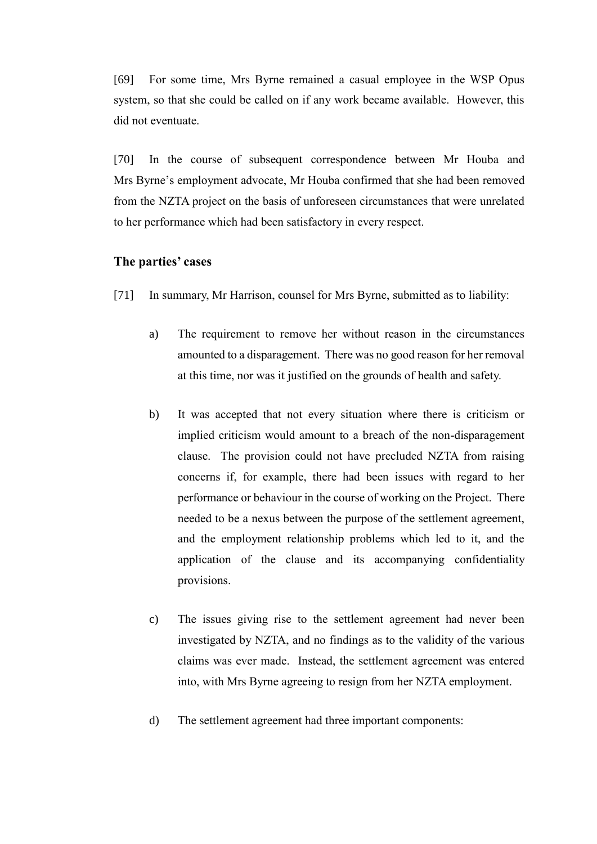[69] For some time, Mrs Byrne remained a casual employee in the WSP Opus system, so that she could be called on if any work became available. However, this did not eventuate.

[70] In the course of subsequent correspondence between Mr Houba and Mrs Byrne's employment advocate, Mr Houba confirmed that she had been removed from the NZTA project on the basis of unforeseen circumstances that were unrelated to her performance which had been satisfactory in every respect.

# **The parties' cases**

- [71] In summary, Mr Harrison, counsel for Mrs Byrne, submitted as to liability:
	- a) The requirement to remove her without reason in the circumstances amounted to a disparagement. There was no good reason for her removal at this time, nor was it justified on the grounds of health and safety.
	- b) It was accepted that not every situation where there is criticism or implied criticism would amount to a breach of the non-disparagement clause. The provision could not have precluded NZTA from raising concerns if, for example, there had been issues with regard to her performance or behaviour in the course of working on the Project. There needed to be a nexus between the purpose of the settlement agreement, and the employment relationship problems which led to it, and the application of the clause and its accompanying confidentiality provisions.
	- c) The issues giving rise to the settlement agreement had never been investigated by NZTA, and no findings as to the validity of the various claims was ever made. Instead, the settlement agreement was entered into, with Mrs Byrne agreeing to resign from her NZTA employment.
	- d) The settlement agreement had three important components: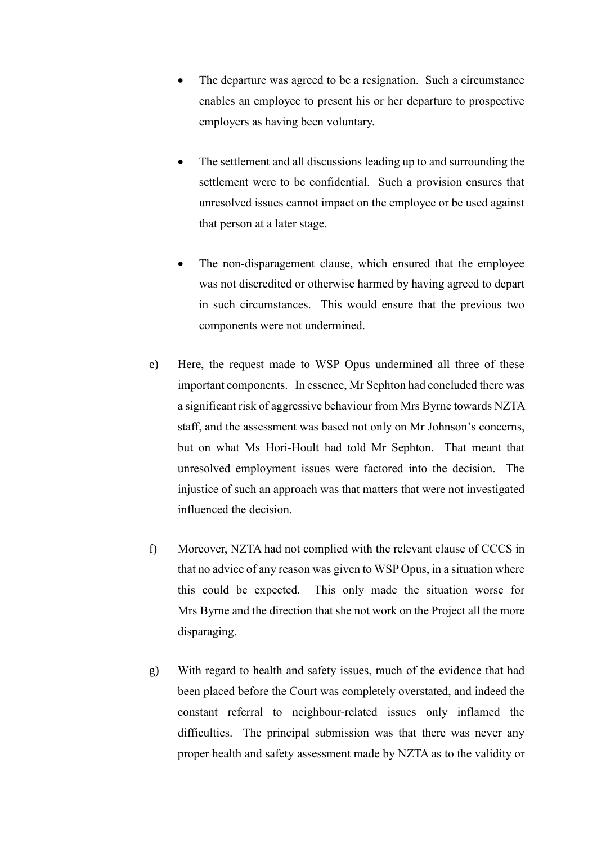- The departure was agreed to be a resignation. Such a circumstance enables an employee to present his or her departure to prospective employers as having been voluntary.
- The settlement and all discussions leading up to and surrounding the settlement were to be confidential. Such a provision ensures that unresolved issues cannot impact on the employee or be used against that person at a later stage.
- The non-disparagement clause, which ensured that the employee was not discredited or otherwise harmed by having agreed to depart in such circumstances. This would ensure that the previous two components were not undermined.
- e) Here, the request made to WSP Opus undermined all three of these important components. In essence, Mr Sephton had concluded there was a significant risk of aggressive behaviour from Mrs Byrne towards NZTA staff, and the assessment was based not only on Mr Johnson's concerns, but on what Ms Hori-Hoult had told Mr Sephton. That meant that unresolved employment issues were factored into the decision. The injustice of such an approach was that matters that were not investigated influenced the decision.
- f) Moreover, NZTA had not complied with the relevant clause of CCCS in that no advice of any reason was given to WSP Opus, in a situation where this could be expected. This only made the situation worse for Mrs Byrne and the direction that she not work on the Project all the more disparaging.
- g) With regard to health and safety issues, much of the evidence that had been placed before the Court was completely overstated, and indeed the constant referral to neighbour-related issues only inflamed the difficulties. The principal submission was that there was never any proper health and safety assessment made by NZTA as to the validity or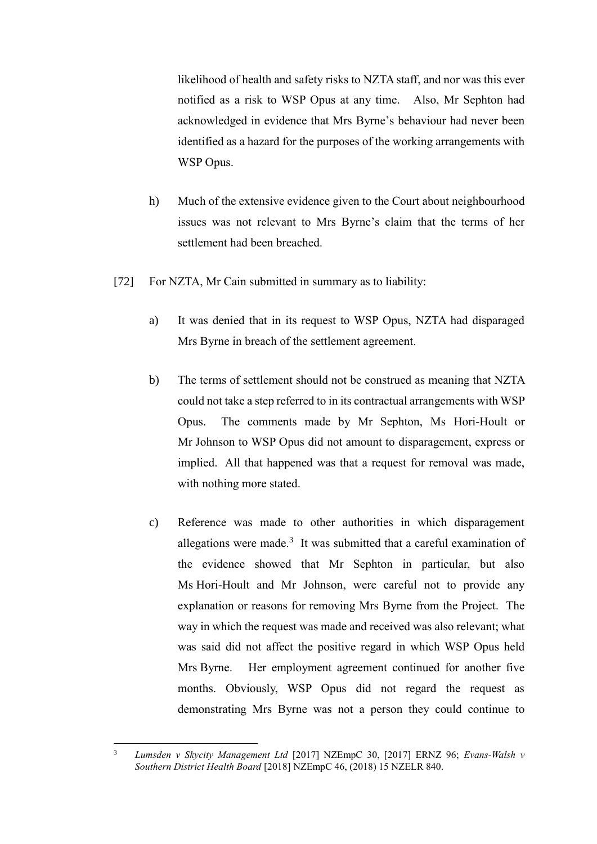likelihood of health and safety risks to NZTA staff, and nor was this ever notified as a risk to WSP Opus at any time. Also, Mr Sephton had acknowledged in evidence that Mrs Byrne's behaviour had never been identified as a hazard for the purposes of the working arrangements with WSP Opus.

- h) Much of the extensive evidence given to the Court about neighbourhood issues was not relevant to Mrs Byrne's claim that the terms of her settlement had been breached.
- [72] For NZTA, Mr Cain submitted in summary as to liability:
	- a) It was denied that in its request to WSP Opus, NZTA had disparaged Mrs Byrne in breach of the settlement agreement.
	- b) The terms of settlement should not be construed as meaning that NZTA could not take a step referred to in its contractual arrangements with WSP Opus. The comments made by Mr Sephton, Ms Hori-Hoult or Mr Johnson to WSP Opus did not amount to disparagement, express or implied. All that happened was that a request for removal was made, with nothing more stated.
	- c) Reference was made to other authorities in which disparagement allegations were made. $3$  It was submitted that a careful examination of the evidence showed that Mr Sephton in particular, but also Ms Hori-Hoult and Mr Johnson, were careful not to provide any explanation or reasons for removing Mrs Byrne from the Project. The way in which the request was made and received was also relevant; what was said did not affect the positive regard in which WSP Opus held Mrs Byrne. Her employment agreement continued for another five months. Obviously, WSP Opus did not regard the request as demonstrating Mrs Byrne was not a person they could continue to

 $\overline{3}$ <sup>3</sup> *Lumsden v Skycity Management Ltd* [2017] NZEmpC 30, [2017] ERNZ 96; *Evans-Walsh v Southern District Health Board* [2018] NZEmpC 46, (2018) 15 NZELR 840.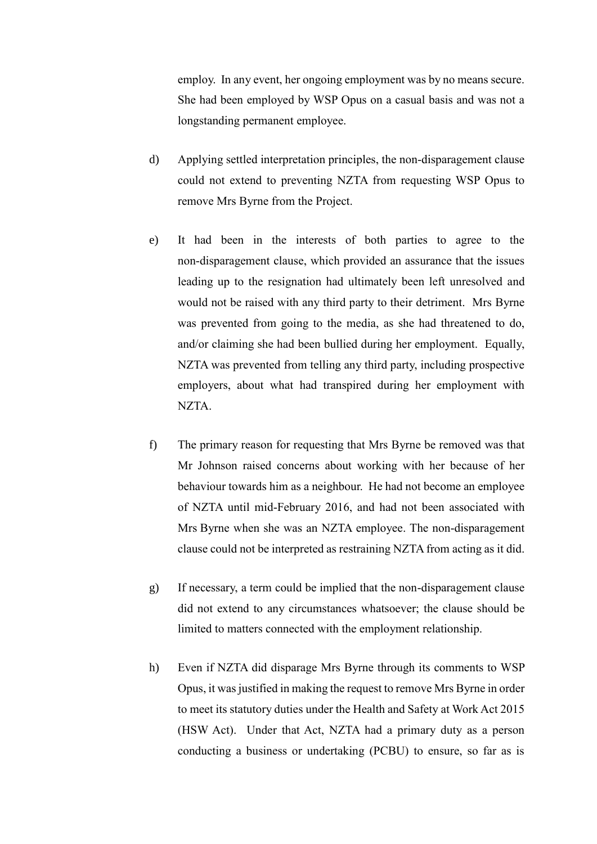employ. In any event, her ongoing employment was by no means secure. She had been employed by WSP Opus on a casual basis and was not a longstanding permanent employee.

- d) Applying settled interpretation principles, the non-disparagement clause could not extend to preventing NZTA from requesting WSP Opus to remove Mrs Byrne from the Project.
- e) It had been in the interests of both parties to agree to the non-disparagement clause, which provided an assurance that the issues leading up to the resignation had ultimately been left unresolved and would not be raised with any third party to their detriment. Mrs Byrne was prevented from going to the media, as she had threatened to do, and/or claiming she had been bullied during her employment. Equally, NZTA was prevented from telling any third party, including prospective employers, about what had transpired during her employment with NZTA.
- f) The primary reason for requesting that Mrs Byrne be removed was that Mr Johnson raised concerns about working with her because of her behaviour towards him as a neighbour. He had not become an employee of NZTA until mid-February 2016, and had not been associated with Mrs Byrne when she was an NZTA employee. The non-disparagement clause could not be interpreted as restraining NZTA from acting as it did.
- g) If necessary, a term could be implied that the non-disparagement clause did not extend to any circumstances whatsoever; the clause should be limited to matters connected with the employment relationship.
- h) Even if NZTA did disparage Mrs Byrne through its comments to WSP Opus, it was justified in making the request to remove Mrs Byrne in order to meet its statutory duties under the Health and Safety at Work Act 2015 (HSW Act). Under that Act, NZTA had a primary duty as a person conducting a business or undertaking (PCBU) to ensure, so far as is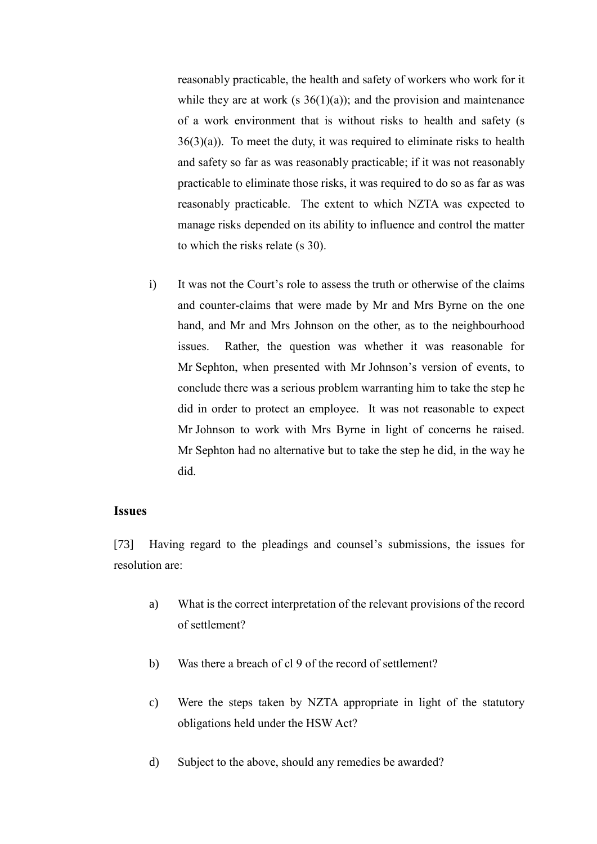reasonably practicable, the health and safety of workers who work for it while they are at work (s  $36(1)(a)$ ); and the provision and maintenance of a work environment that is without risks to health and safety (s  $36(3)(a)$ . To meet the duty, it was required to eliminate risks to health and safety so far as was reasonably practicable; if it was not reasonably practicable to eliminate those risks, it was required to do so as far as was reasonably practicable. The extent to which NZTA was expected to manage risks depended on its ability to influence and control the matter to which the risks relate (s 30).

i) It was not the Court's role to assess the truth or otherwise of the claims and counter-claims that were made by Mr and Mrs Byrne on the one hand, and Mr and Mrs Johnson on the other, as to the neighbourhood issues. Rather, the question was whether it was reasonable for Mr Sephton, when presented with Mr Johnson's version of events, to conclude there was a serious problem warranting him to take the step he did in order to protect an employee. It was not reasonable to expect Mr Johnson to work with Mrs Byrne in light of concerns he raised. Mr Sephton had no alternative but to take the step he did, in the way he did.

## **Issues**

[73] Having regard to the pleadings and counsel's submissions, the issues for resolution are:

- a) What is the correct interpretation of the relevant provisions of the record of settlement?
- b) Was there a breach of cl 9 of the record of settlement?
- c) Were the steps taken by NZTA appropriate in light of the statutory obligations held under the HSW Act?
- d) Subject to the above, should any remedies be awarded?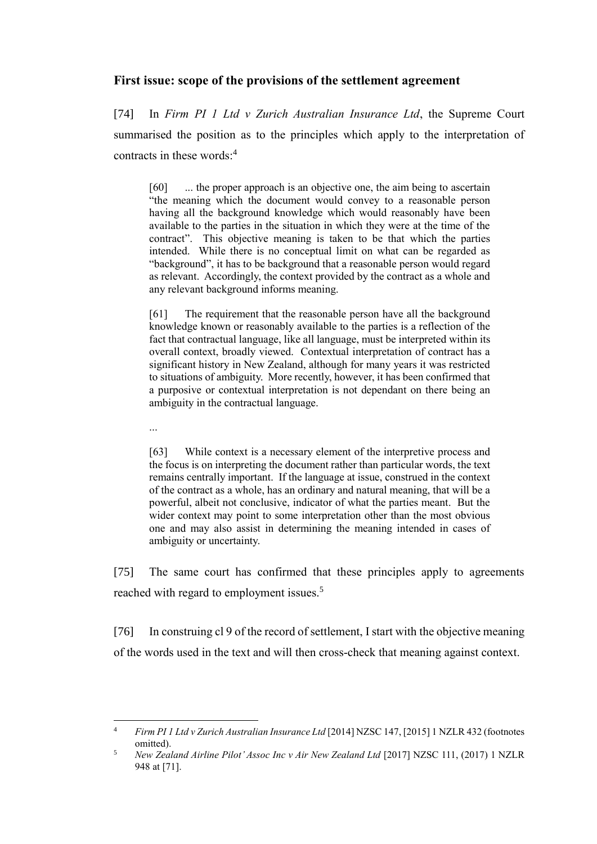# **First issue: scope of the provisions of the settlement agreement**

[74] In *Firm PI 1 Ltd v Zurich Australian Insurance Ltd*, the Supreme Court summarised the position as to the principles which apply to the interpretation of contracts in these words:<sup>4</sup>

[60] ... the proper approach is an objective one, the aim being to ascertain "the meaning which the document would convey to a reasonable person having all the background knowledge which would reasonably have been available to the parties in the situation in which they were at the time of the contract". This objective meaning is taken to be that which the parties intended. While there is no conceptual limit on what can be regarded as "background", it has to be background that a reasonable person would regard as relevant. Accordingly, the context provided by the contract as a whole and any relevant background informs meaning.

[61] The requirement that the reasonable person have all the background knowledge known or reasonably available to the parties is a reflection of the fact that contractual language, like all language, must be interpreted within its overall context, broadly viewed. Contextual interpretation of contract has a significant history in New Zealand, although for many years it was restricted to situations of ambiguity. More recently, however, it has been confirmed that a purposive or contextual interpretation is not dependant on there being an ambiguity in the contractual language.

...

 $\overline{a}$ 

[63] While context is a necessary element of the interpretive process and the focus is on interpreting the document rather than particular words, the text remains centrally important. If the language at issue, construed in the context of the contract as a whole, has an ordinary and natural meaning, that will be a powerful, albeit not conclusive, indicator of what the parties meant. But the wider context may point to some interpretation other than the most obvious one and may also assist in determining the meaning intended in cases of ambiguity or uncertainty.

[75] The same court has confirmed that these principles apply to agreements reached with regard to employment issues.<sup>5</sup>

[76] In construing cl 9 of the record of settlement, I start with the objective meaning of the words used in the text and will then cross-check that meaning against context.

<sup>4</sup> *Firm PI 1 Ltd v Zurich Australian Insurance Ltd* [2014] NZSC 147, [2015] 1 NZLR 432 (footnotes omitted).

<sup>5</sup> *New Zealand Airline Pilot' Assoc Inc v Air New Zealand Ltd* [2017] NZSC 111, (2017) 1 NZLR 948 at [71].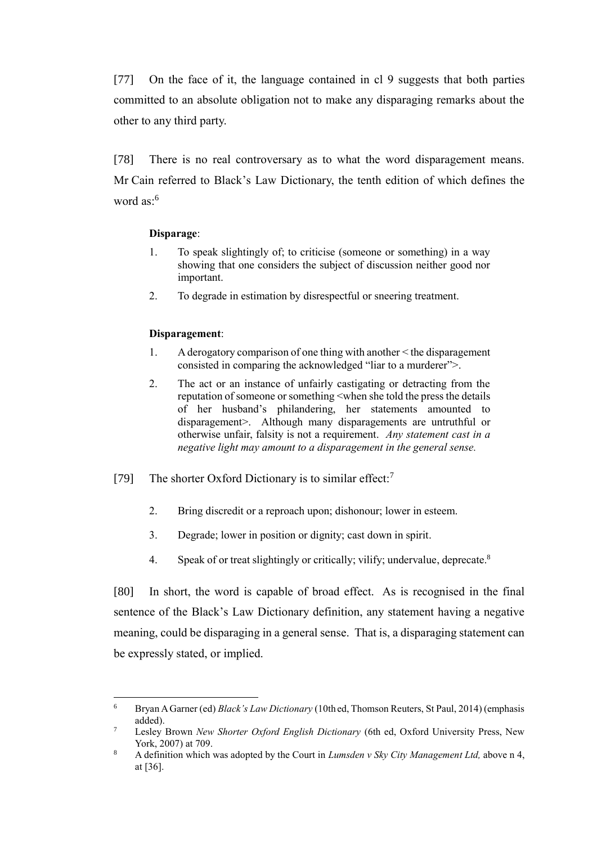[77] On the face of it, the language contained in cl 9 suggests that both parties committed to an absolute obligation not to make any disparaging remarks about the other to any third party.

[78] There is no real controversary as to what the word disparagement means. Mr Cain referred to Black's Law Dictionary, the tenth edition of which defines the word as: $6$ 

#### **Disparage**:

- 1. To speak slightingly of; to criticise (someone or something) in a way showing that one considers the subject of discussion neither good nor important.
- 2. To degrade in estimation by disrespectful or sneering treatment.

### **Disparagement**:

 $\overline{a}$ 

- 1. A derogatory comparison of one thing with another < the disparagement consisted in comparing the acknowledged "liar to a murderer">.
- 2. The act or an instance of unfairly castigating or detracting from the reputation of someone or something <when she told the press the details of her husband's philandering, her statements amounted to disparagement>. Although many disparagements are untruthful or otherwise unfair, falsity is not a requirement. *Any statement cast in a negative light may amount to a disparagement in the general sense.*
- [79] The shorter Oxford Dictionary is to similar effect:<sup>7</sup>
	- 2. Bring discredit or a reproach upon; dishonour; lower in esteem.
	- 3. Degrade; lower in position or dignity; cast down in spirit.
	- 4. Speak of or treat slightingly or critically; vilify; undervalue, deprecate.<sup>8</sup>

[80] In short, the word is capable of broad effect. As is recognised in the final sentence of the Black's Law Dictionary definition, any statement having a negative meaning, could be disparaging in a general sense. That is, a disparaging statement can be expressly stated, or implied.

<sup>6</sup> Bryan A Garner (ed) *Black's Law Dictionary* (10th ed, Thomson Reuters, St Paul, 2014) (emphasis added).

<sup>7</sup> Lesley Brown *New Shorter Oxford English Dictionary* (6th ed, Oxford University Press, New York, 2007) at 709.

<sup>8</sup> A definition which was adopted by the Court in *Lumsden v Sky City Management Ltd,* above n 4, at [36].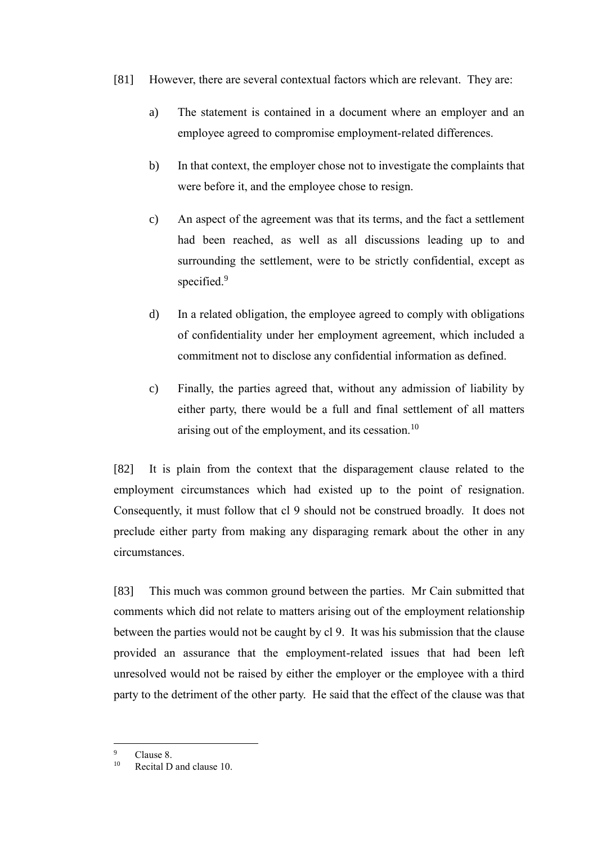- [81] However, there are several contextual factors which are relevant. They are:
	- a) The statement is contained in a document where an employer and an employee agreed to compromise employment-related differences.
	- b) In that context, the employer chose not to investigate the complaints that were before it, and the employee chose to resign.
	- c) An aspect of the agreement was that its terms, and the fact a settlement had been reached, as well as all discussions leading up to and surrounding the settlement, were to be strictly confidential, except as specified.<sup>9</sup>
	- d) In a related obligation, the employee agreed to comply with obligations of confidentiality under her employment agreement, which included a commitment not to disclose any confidential information as defined.
	- c) Finally, the parties agreed that, without any admission of liability by either party, there would be a full and final settlement of all matters arising out of the employment, and its cessation. $10$

[82] It is plain from the context that the disparagement clause related to the employment circumstances which had existed up to the point of resignation. Consequently, it must follow that cl 9 should not be construed broadly. It does not preclude either party from making any disparaging remark about the other in any circumstances.

[83] This much was common ground between the parties. Mr Cain submitted that comments which did not relate to matters arising out of the employment relationship between the parties would not be caught by cl 9. It was his submission that the clause provided an assurance that the employment-related issues that had been left unresolved would not be raised by either the employer or the employee with a third party to the detriment of the other party. He said that the effect of the clause was that

 $\overline{9}$  $^{9}$  Clause 8.

<sup>10</sup> Recital D and clause 10.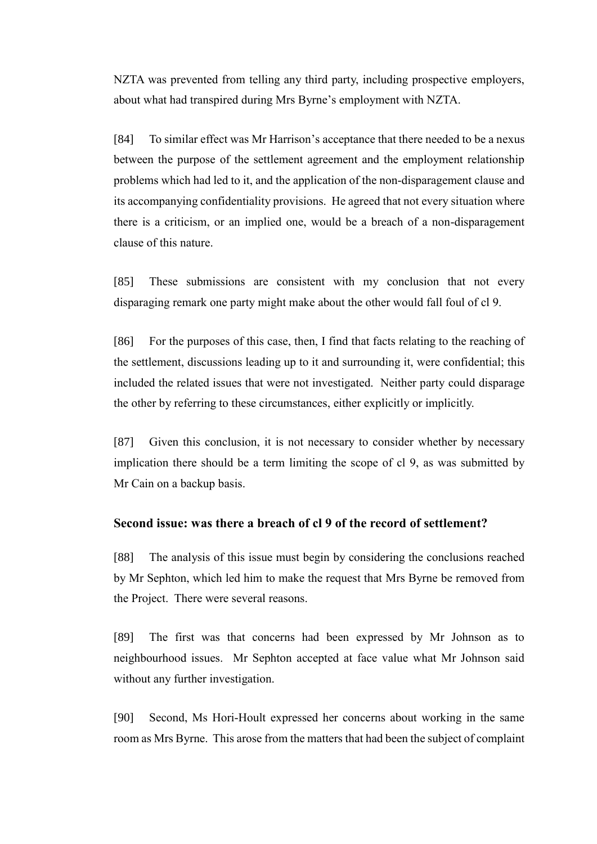NZTA was prevented from telling any third party, including prospective employers, about what had transpired during Mrs Byrne's employment with NZTA.

[84] To similar effect was Mr Harrison's acceptance that there needed to be a nexus between the purpose of the settlement agreement and the employment relationship problems which had led to it, and the application of the non-disparagement clause and its accompanying confidentiality provisions. He agreed that not every situation where there is a criticism, or an implied one, would be a breach of a non-disparagement clause of this nature.

[85] These submissions are consistent with my conclusion that not every disparaging remark one party might make about the other would fall foul of cl 9.

[86] For the purposes of this case, then, I find that facts relating to the reaching of the settlement, discussions leading up to it and surrounding it, were confidential; this included the related issues that were not investigated. Neither party could disparage the other by referring to these circumstances, either explicitly or implicitly.

[87] Given this conclusion, it is not necessary to consider whether by necessary implication there should be a term limiting the scope of cl 9, as was submitted by Mr Cain on a backup basis.

## **Second issue: was there a breach of cl 9 of the record of settlement?**

[88] The analysis of this issue must begin by considering the conclusions reached by Mr Sephton, which led him to make the request that Mrs Byrne be removed from the Project. There were several reasons.

[89] The first was that concerns had been expressed by Mr Johnson as to neighbourhood issues. Mr Sephton accepted at face value what Mr Johnson said without any further investigation.

[90] Second, Ms Hori-Hoult expressed her concerns about working in the same room as Mrs Byrne. This arose from the matters that had been the subject of complaint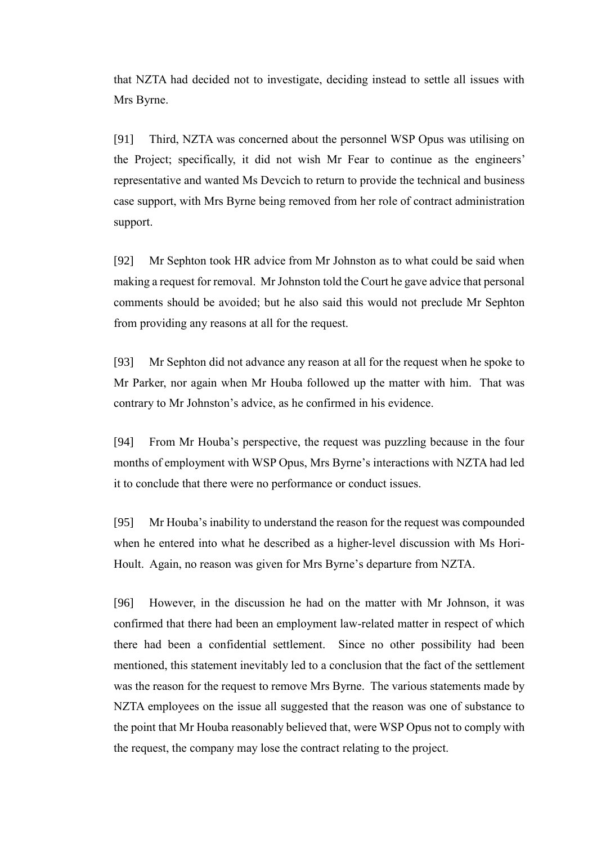that NZTA had decided not to investigate, deciding instead to settle all issues with Mrs Byrne.

[91] Third, NZTA was concerned about the personnel WSP Opus was utilising on the Project; specifically, it did not wish Mr Fear to continue as the engineers' representative and wanted Ms Devcich to return to provide the technical and business case support, with Mrs Byrne being removed from her role of contract administration support.

[92] Mr Sephton took HR advice from Mr Johnston as to what could be said when making a request for removal. Mr Johnston told the Court he gave advice that personal comments should be avoided; but he also said this would not preclude Mr Sephton from providing any reasons at all for the request.

[93] Mr Sephton did not advance any reason at all for the request when he spoke to Mr Parker, nor again when Mr Houba followed up the matter with him. That was contrary to Mr Johnston's advice, as he confirmed in his evidence.

[94] From Mr Houba's perspective, the request was puzzling because in the four months of employment with WSP Opus, Mrs Byrne's interactions with NZTA had led it to conclude that there were no performance or conduct issues.

[95] Mr Houba's inability to understand the reason for the request was compounded when he entered into what he described as a higher-level discussion with Ms Hori-Hoult. Again, no reason was given for Mrs Byrne's departure from NZTA.

[96] However, in the discussion he had on the matter with Mr Johnson, it was confirmed that there had been an employment law-related matter in respect of which there had been a confidential settlement. Since no other possibility had been mentioned, this statement inevitably led to a conclusion that the fact of the settlement was the reason for the request to remove Mrs Byrne. The various statements made by NZTA employees on the issue all suggested that the reason was one of substance to the point that Mr Houba reasonably believed that, were WSP Opus not to comply with the request, the company may lose the contract relating to the project.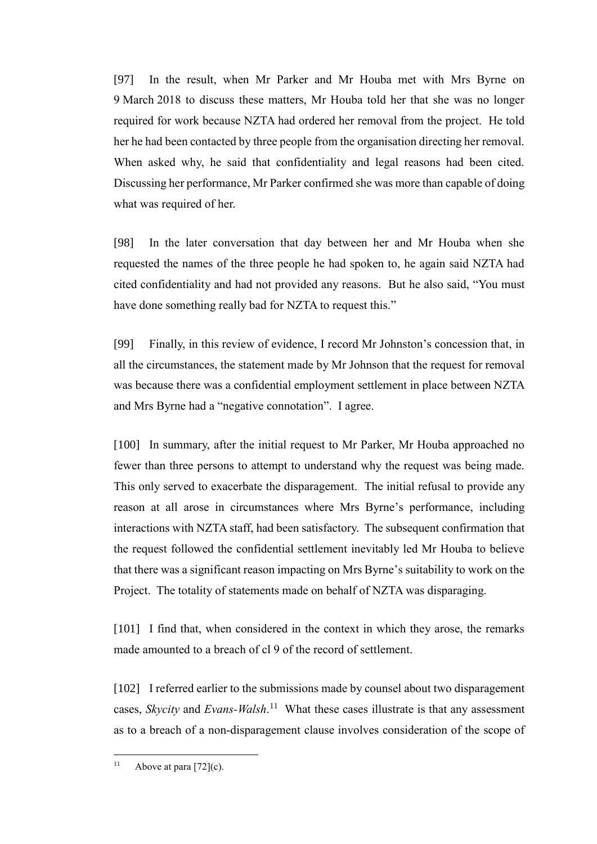[97] In the result, when Mr Parker and Mr Houba met with Mrs Byrne on 9 March 2018 to discuss these matters, Mr Houba told her that she was no longer required for work because NZTA had ordered her removal from the project. He told her he had been contacted by three people from the organisation directing her removal. When asked why, he said that confidentiality and legal reasons had been cited. Discussing her performance, Mr Parker confirmed she was more than capable of doing what was required of her.

[98] In the later conversation that day between her and Mr Houba when she requested the names of the three people he had spoken to, he again said NZTA had cited confidentiality and had not provided any reasons. But he also said, "You must have done something really bad for NZTA to request this."

[99] Finally, in this review of evidence, I record Mr Johnston's concession that, in all the circumstances, the statement made by Mr Johnson that the request for removal was because there was a confidential employment settlement in place between NZTA and Mrs Byrne had a "negative connotation". I agree.

[100] In summary, after the initial request to Mr Parker, Mr Houba approached no fewer than three persons to attempt to understand why the request was being made. This only served to exacerbate the disparagement. The initial refusal to provide any reason at all arose in circumstances where Mrs Byrne's performance, including interactions with NZTA staff, had been satisfactory. The subsequent confirmation that the request followed the confidential settlement inevitably led Mr Houba to believe that there was a significant reason impacting on Mrs Byrne's suitability to work on the Project. The totality of statements made on behalf of NZTA was disparaging.

[101] I find that, when considered in the context in which they arose, the remarks made amounted to a breach of cl 9 of the record of settlement.

[102] I referred earlier to the submissions made by counsel about two disparagement cases, *Skycity* and *Evans-Walsh*. 11 What these cases illustrate is that any assessment as to a breach of a non-disparagement clause involves consideration of the scope of

 $\overline{a}$ 

<sup>&</sup>lt;sup>11</sup> Above at para  $[72]$ (c).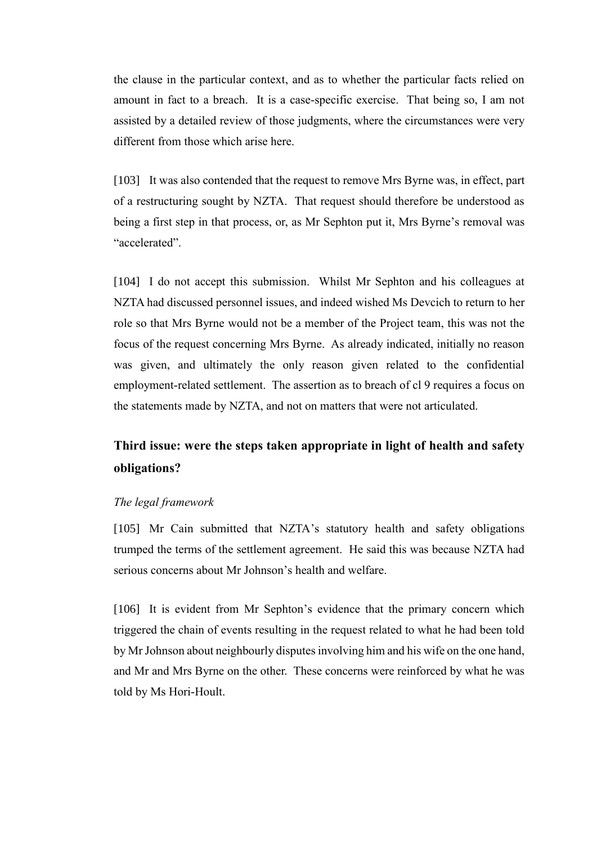the clause in the particular context, and as to whether the particular facts relied on amount in fact to a breach. It is a case-specific exercise. That being so, I am not assisted by a detailed review of those judgments, where the circumstances were very different from those which arise here.

[103] It was also contended that the request to remove Mrs Byrne was, in effect, part of a restructuring sought by NZTA. That request should therefore be understood as being a first step in that process, or, as Mr Sephton put it, Mrs Byrne's removal was "accelerated".

[104] I do not accept this submission. Whilst Mr Sephton and his colleagues at NZTA had discussed personnel issues, and indeed wished Ms Devcich to return to her role so that Mrs Byrne would not be a member of the Project team, this was not the focus of the request concerning Mrs Byrne. As already indicated, initially no reason was given, and ultimately the only reason given related to the confidential employment-related settlement. The assertion as to breach of cl 9 requires a focus on the statements made by NZTA, and not on matters that were not articulated.

# **Third issue: were the steps taken appropriate in light of health and safety obligations?**

#### *The legal framework*

[105] Mr Cain submitted that NZTA's statutory health and safety obligations trumped the terms of the settlement agreement. He said this was because NZTA had serious concerns about Mr Johnson's health and welfare.

[106] It is evident from Mr Sephton's evidence that the primary concern which triggered the chain of events resulting in the request related to what he had been told by Mr Johnson about neighbourly disputes involving him and his wife on the one hand, and Mr and Mrs Byrne on the other. These concerns were reinforced by what he was told by Ms Hori-Hoult.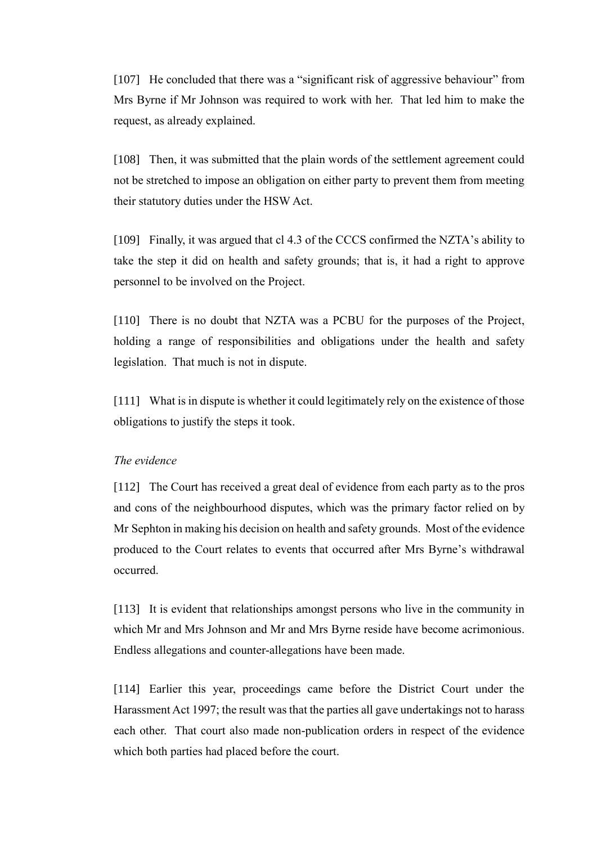[107] He concluded that there was a "significant risk of aggressive behaviour" from Mrs Byrne if Mr Johnson was required to work with her. That led him to make the request, as already explained.

[108] Then, it was submitted that the plain words of the settlement agreement could not be stretched to impose an obligation on either party to prevent them from meeting their statutory duties under the HSW Act.

[109] Finally, it was argued that cl 4.3 of the CCCS confirmed the NZTA's ability to take the step it did on health and safety grounds; that is, it had a right to approve personnel to be involved on the Project.

[110] There is no doubt that NZTA was a PCBU for the purposes of the Project, holding a range of responsibilities and obligations under the health and safety legislation. That much is not in dispute.

[111] What is in dispute is whether it could legitimately rely on the existence of those obligations to justify the steps it took.

### *The evidence*

[112] The Court has received a great deal of evidence from each party as to the pros and cons of the neighbourhood disputes, which was the primary factor relied on by Mr Sephton in making his decision on health and safety grounds. Most of the evidence produced to the Court relates to events that occurred after Mrs Byrne's withdrawal occurred.

[113] It is evident that relationships amongst persons who live in the community in which Mr and Mrs Johnson and Mr and Mrs Byrne reside have become acrimonious. Endless allegations and counter-allegations have been made.

[114] Earlier this year, proceedings came before the District Court under the Harassment Act 1997; the result was that the parties all gave undertakings not to harass each other. That court also made non-publication orders in respect of the evidence which both parties had placed before the court.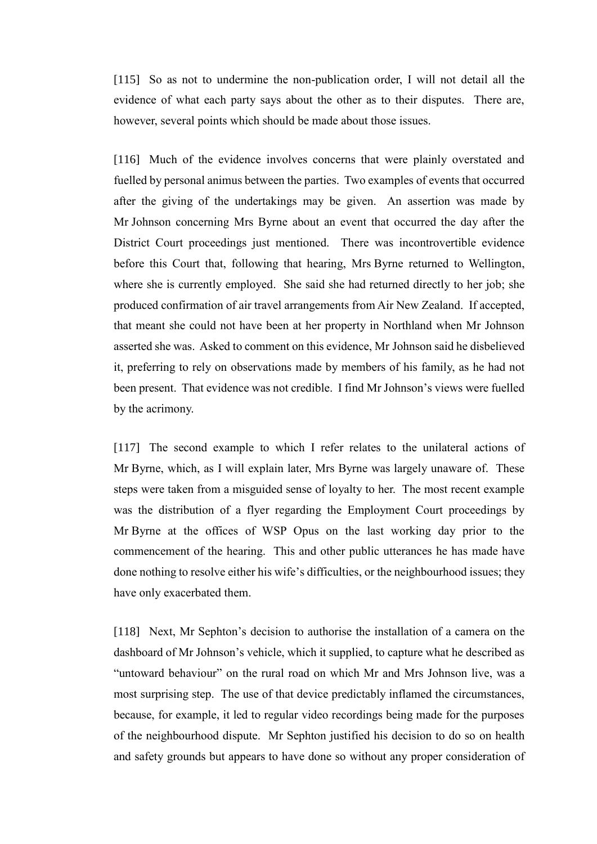[115] So as not to undermine the non-publication order, I will not detail all the evidence of what each party says about the other as to their disputes. There are, however, several points which should be made about those issues.

[116] Much of the evidence involves concerns that were plainly overstated and fuelled by personal animus between the parties. Two examples of events that occurred after the giving of the undertakings may be given. An assertion was made by Mr Johnson concerning Mrs Byrne about an event that occurred the day after the District Court proceedings just mentioned. There was incontrovertible evidence before this Court that, following that hearing, Mrs Byrne returned to Wellington, where she is currently employed. She said she had returned directly to her job; she produced confirmation of air travel arrangements from Air New Zealand. If accepted, that meant she could not have been at her property in Northland when Mr Johnson asserted she was. Asked to comment on this evidence, Mr Johnson said he disbelieved it, preferring to rely on observations made by members of his family, as he had not been present. That evidence was not credible. I find Mr Johnson's views were fuelled by the acrimony.

[117] The second example to which I refer relates to the unilateral actions of Mr Byrne, which, as I will explain later, Mrs Byrne was largely unaware of. These steps were taken from a misguided sense of loyalty to her. The most recent example was the distribution of a flyer regarding the Employment Court proceedings by Mr Byrne at the offices of WSP Opus on the last working day prior to the commencement of the hearing. This and other public utterances he has made have done nothing to resolve either his wife's difficulties, or the neighbourhood issues; they have only exacerbated them.

[118] Next, Mr Sephton's decision to authorise the installation of a camera on the dashboard of Mr Johnson's vehicle, which it supplied, to capture what he described as "untoward behaviour" on the rural road on which Mr and Mrs Johnson live, was a most surprising step. The use of that device predictably inflamed the circumstances, because, for example, it led to regular video recordings being made for the purposes of the neighbourhood dispute. Mr Sephton justified his decision to do so on health and safety grounds but appears to have done so without any proper consideration of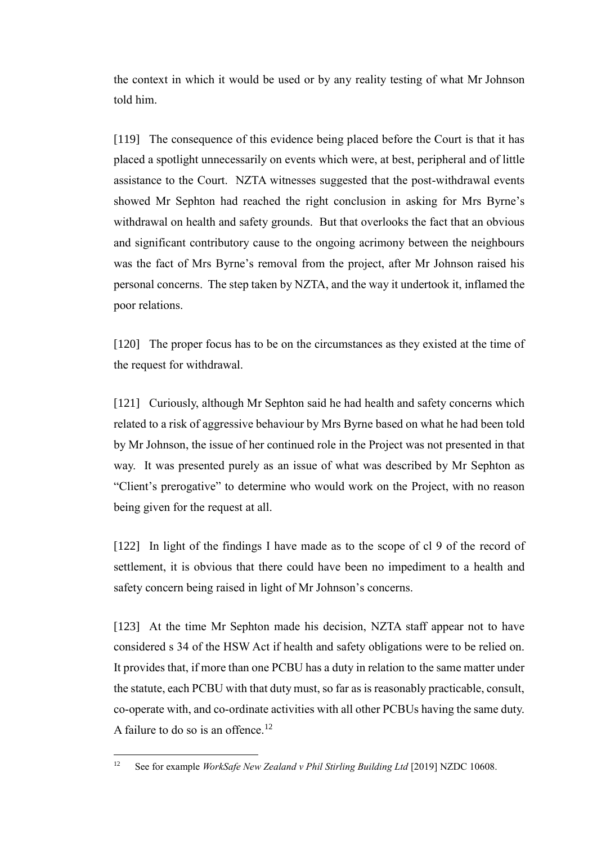the context in which it would be used or by any reality testing of what Mr Johnson told him.

[119] The consequence of this evidence being placed before the Court is that it has placed a spotlight unnecessarily on events which were, at best, peripheral and of little assistance to the Court. NZTA witnesses suggested that the post-withdrawal events showed Mr Sephton had reached the right conclusion in asking for Mrs Byrne's withdrawal on health and safety grounds. But that overlooks the fact that an obvious and significant contributory cause to the ongoing acrimony between the neighbours was the fact of Mrs Byrne's removal from the project, after Mr Johnson raised his personal concerns. The step taken by NZTA, and the way it undertook it, inflamed the poor relations.

[120] The proper focus has to be on the circumstances as they existed at the time of the request for withdrawal.

[121] Curiously, although Mr Sephton said he had health and safety concerns which related to a risk of aggressive behaviour by Mrs Byrne based on what he had been told by Mr Johnson, the issue of her continued role in the Project was not presented in that way. It was presented purely as an issue of what was described by Mr Sephton as "Client's prerogative" to determine who would work on the Project, with no reason being given for the request at all.

[122] In light of the findings I have made as to the scope of cl 9 of the record of settlement, it is obvious that there could have been no impediment to a health and safety concern being raised in light of Mr Johnson's concerns.

[123] At the time Mr Sephton made his decision, NZTA staff appear not to have considered s 34 of the HSW Act if health and safety obligations were to be relied on. It provides that, if more than one PCBU has a duty in relation to the same matter under the statute, each PCBU with that duty must, so far as is reasonably practicable, consult, co-operate with, and co-ordinate activities with all other PCBUs having the same duty. A failure to do so is an offence.<sup>12</sup>

 $\overline{a}$ 

<sup>12</sup> See for example *WorkSafe New Zealand v Phil Stirling Building Ltd* [2019] NZDC 10608.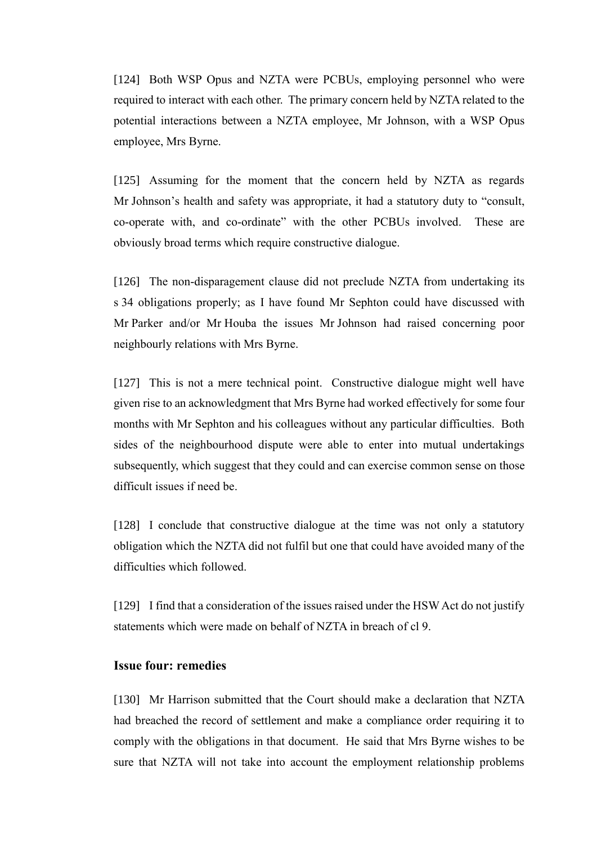[124] Both WSP Opus and NZTA were PCBUs, employing personnel who were required to interact with each other. The primary concern held by NZTA related to the potential interactions between a NZTA employee, Mr Johnson, with a WSP Opus employee, Mrs Byrne.

[125] Assuming for the moment that the concern held by NZTA as regards Mr Johnson's health and safety was appropriate, it had a statutory duty to "consult, co-operate with, and co-ordinate" with the other PCBUs involved. These are obviously broad terms which require constructive dialogue.

[126] The non-disparagement clause did not preclude NZTA from undertaking its s 34 obligations properly; as I have found Mr Sephton could have discussed with Mr Parker and/or Mr Houba the issues Mr Johnson had raised concerning poor neighbourly relations with Mrs Byrne.

[127] This is not a mere technical point. Constructive dialogue might well have given rise to an acknowledgment that Mrs Byrne had worked effectively for some four months with Mr Sephton and his colleagues without any particular difficulties. Both sides of the neighbourhood dispute were able to enter into mutual undertakings subsequently, which suggest that they could and can exercise common sense on those difficult issues if need be.

[128] I conclude that constructive dialogue at the time was not only a statutory obligation which the NZTA did not fulfil but one that could have avoided many of the difficulties which followed.

[129] I find that a consideration of the issues raised under the HSW Act do not justify statements which were made on behalf of NZTA in breach of cl 9.

# **Issue four: remedies**

[130] Mr Harrison submitted that the Court should make a declaration that NZTA had breached the record of settlement and make a compliance order requiring it to comply with the obligations in that document. He said that Mrs Byrne wishes to be sure that NZTA will not take into account the employment relationship problems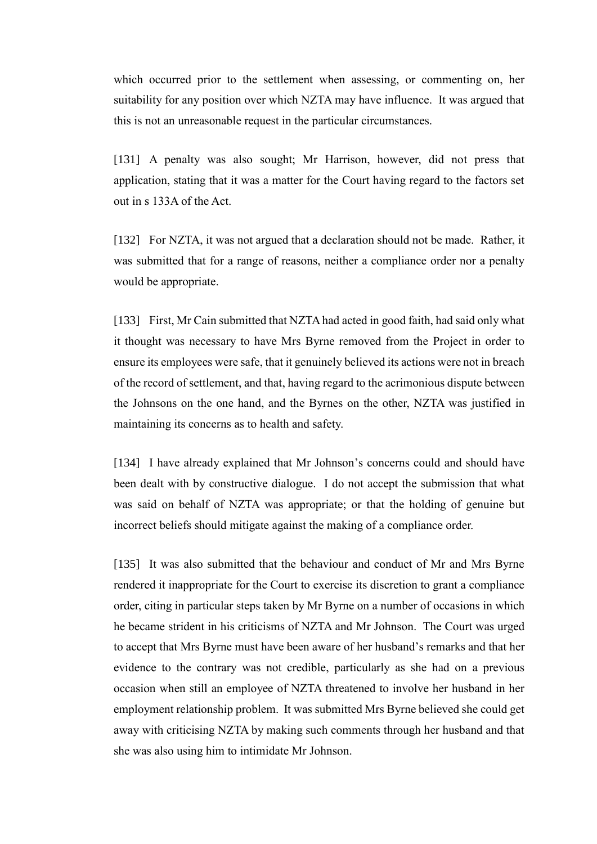which occurred prior to the settlement when assessing, or commenting on, her suitability for any position over which NZTA may have influence. It was argued that this is not an unreasonable request in the particular circumstances.

[131] A penalty was also sought; Mr Harrison, however, did not press that application, stating that it was a matter for the Court having regard to the factors set out in s 133A of the Act.

[132] For NZTA, it was not argued that a declaration should not be made. Rather, it was submitted that for a range of reasons, neither a compliance order nor a penalty would be appropriate.

[133] First, Mr Cain submitted that NZTA had acted in good faith, had said only what it thought was necessary to have Mrs Byrne removed from the Project in order to ensure its employees were safe, that it genuinely believed its actions were not in breach of the record of settlement, and that, having regard to the acrimonious dispute between the Johnsons on the one hand, and the Byrnes on the other, NZTA was justified in maintaining its concerns as to health and safety.

[134] I have already explained that Mr Johnson's concerns could and should have been dealt with by constructive dialogue. I do not accept the submission that what was said on behalf of NZTA was appropriate; or that the holding of genuine but incorrect beliefs should mitigate against the making of a compliance order.

[135] It was also submitted that the behaviour and conduct of Mr and Mrs Byrne rendered it inappropriate for the Court to exercise its discretion to grant a compliance order, citing in particular steps taken by Mr Byrne on a number of occasions in which he became strident in his criticisms of NZTA and Mr Johnson. The Court was urged to accept that Mrs Byrne must have been aware of her husband's remarks and that her evidence to the contrary was not credible, particularly as she had on a previous occasion when still an employee of NZTA threatened to involve her husband in her employment relationship problem. It was submitted Mrs Byrne believed she could get away with criticising NZTA by making such comments through her husband and that she was also using him to intimidate Mr Johnson.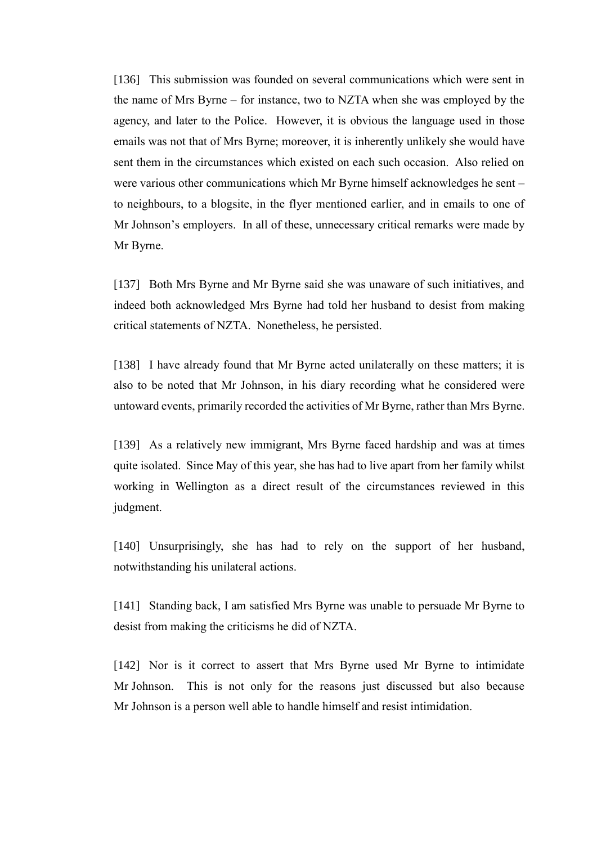[136] This submission was founded on several communications which were sent in the name of Mrs Byrne – for instance, two to NZTA when she was employed by the agency, and later to the Police. However, it is obvious the language used in those emails was not that of Mrs Byrne; moreover, it is inherently unlikely she would have sent them in the circumstances which existed on each such occasion. Also relied on were various other communications which Mr Byrne himself acknowledges he sent – to neighbours, to a blogsite, in the flyer mentioned earlier, and in emails to one of Mr Johnson's employers. In all of these, unnecessary critical remarks were made by Mr Byrne.

[137] Both Mrs Byrne and Mr Byrne said she was unaware of such initiatives, and indeed both acknowledged Mrs Byrne had told her husband to desist from making critical statements of NZTA. Nonetheless, he persisted.

[138] I have already found that Mr Byrne acted unilaterally on these matters; it is also to be noted that Mr Johnson, in his diary recording what he considered were untoward events, primarily recorded the activities of Mr Byrne, rather than Mrs Byrne.

[139] As a relatively new immigrant, Mrs Byrne faced hardship and was at times quite isolated. Since May of this year, she has had to live apart from her family whilst working in Wellington as a direct result of the circumstances reviewed in this judgment.

[140] Unsurprisingly, she has had to rely on the support of her husband, notwithstanding his unilateral actions.

[141] Standing back, I am satisfied Mrs Byrne was unable to persuade Mr Byrne to desist from making the criticisms he did of NZTA.

[142] Nor is it correct to assert that Mrs Byrne used Mr Byrne to intimidate Mr Johnson. This is not only for the reasons just discussed but also because Mr Johnson is a person well able to handle himself and resist intimidation.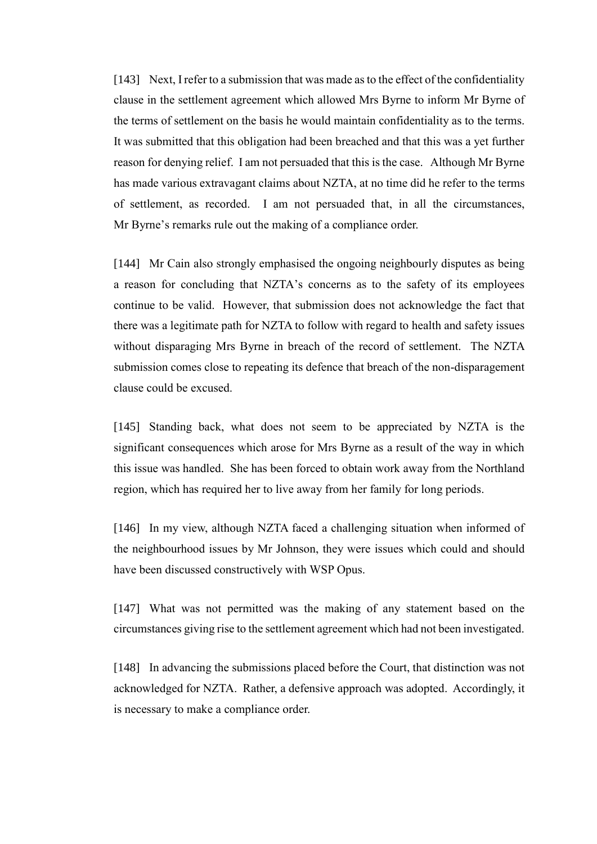[143] Next, I refer to a submission that was made as to the effect of the confidentiality clause in the settlement agreement which allowed Mrs Byrne to inform Mr Byrne of the terms of settlement on the basis he would maintain confidentiality as to the terms. It was submitted that this obligation had been breached and that this was a yet further reason for denying relief. I am not persuaded that this is the case. Although Mr Byrne has made various extravagant claims about NZTA, at no time did he refer to the terms of settlement, as recorded. I am not persuaded that, in all the circumstances, Mr Byrne's remarks rule out the making of a compliance order.

[144] Mr Cain also strongly emphasised the ongoing neighbourly disputes as being a reason for concluding that NZTA's concerns as to the safety of its employees continue to be valid. However, that submission does not acknowledge the fact that there was a legitimate path for NZTA to follow with regard to health and safety issues without disparaging Mrs Byrne in breach of the record of settlement. The NZTA submission comes close to repeating its defence that breach of the non-disparagement clause could be excused.

[145] Standing back, what does not seem to be appreciated by NZTA is the significant consequences which arose for Mrs Byrne as a result of the way in which this issue was handled. She has been forced to obtain work away from the Northland region, which has required her to live away from her family for long periods.

[146] In my view, although NZTA faced a challenging situation when informed of the neighbourhood issues by Mr Johnson, they were issues which could and should have been discussed constructively with WSP Opus.

[147] What was not permitted was the making of any statement based on the circumstances giving rise to the settlement agreement which had not been investigated.

[148] In advancing the submissions placed before the Court, that distinction was not acknowledged for NZTA. Rather, a defensive approach was adopted. Accordingly, it is necessary to make a compliance order.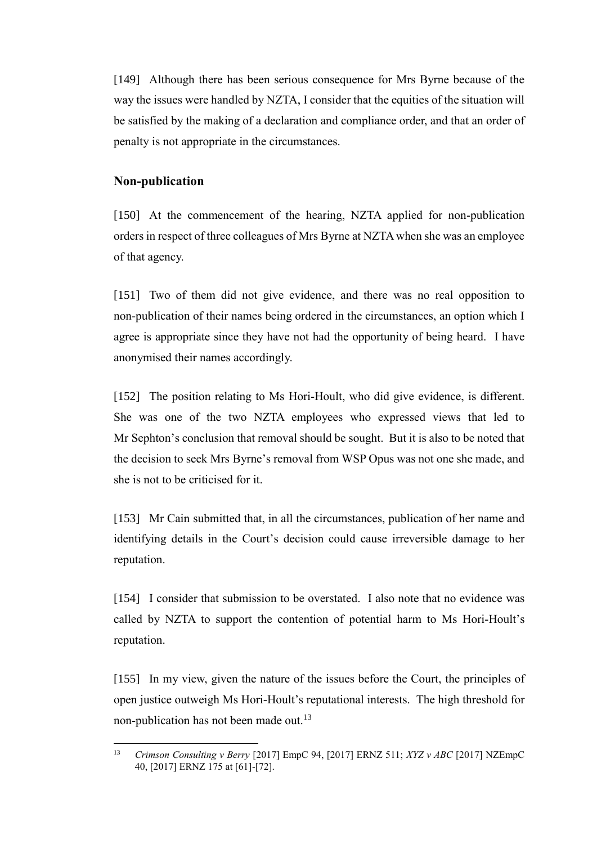[149] Although there has been serious consequence for Mrs Byrne because of the way the issues were handled by NZTA, I consider that the equities of the situation will be satisfied by the making of a declaration and compliance order, and that an order of penalty is not appropriate in the circumstances.

## **Non-publication**

[150] At the commencement of the hearing, NZTA applied for non-publication orders in respect of three colleagues of Mrs Byrne at NZTA when she was an employee of that agency.

[151] Two of them did not give evidence, and there was no real opposition to non-publication of their names being ordered in the circumstances, an option which I agree is appropriate since they have not had the opportunity of being heard. I have anonymised their names accordingly.

[152] The position relating to Ms Hori-Hoult, who did give evidence, is different. She was one of the two NZTA employees who expressed views that led to Mr Sephton's conclusion that removal should be sought. But it is also to be noted that the decision to seek Mrs Byrne's removal from WSP Opus was not one she made, and she is not to be criticised for it.

[153] Mr Cain submitted that, in all the circumstances, publication of her name and identifying details in the Court's decision could cause irreversible damage to her reputation.

[154] I consider that submission to be overstated. I also note that no evidence was called by NZTA to support the contention of potential harm to Ms Hori-Hoult's reputation.

[155] In my view, given the nature of the issues before the Court, the principles of open justice outweigh Ms Hori-Hoult's reputational interests. The high threshold for non-publication has not been made out.<sup>13</sup>

 $13$ <sup>13</sup> *Crimson Consulting v Berry* [2017] EmpC 94, [2017] ERNZ 511; *XYZ v ABC* [2017] NZEmpC 40, [2017] ERNZ 175 at [61]-[72].